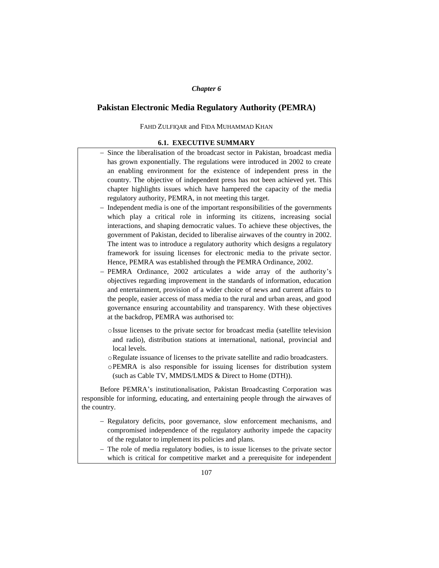### *Chapter 6*

# **Pakistan Electronic Media Regulatory Authority (PEMRA)**

## FAHD ZULFIQAR and FIDA MUHAMMAD KHAN

## **6.1. EXECUTIVE SUMMARY**

- Since the liberalisation of the broadcast sector in Pakistan, broadcast media has grown exponentially. The regulations were introduced in 2002 to create an enabling environment for the existence of independent press in the country. The objective of independent press has not been achieved yet. This chapter highlights issues which have hampered the capacity of the media regulatory authority, PEMRA, in not meeting this target.
- Independent media is one of the important responsibilities of the governments which play a critical role in informing its citizens, increasing social interactions, and shaping democratic values. To achieve these objectives, the government of Pakistan, decided to liberalise airwaves of the country in 2002. The intent was to introduce a regulatory authority which designs a regulatory framework for issuing licenses for electronic media to the private sector. Hence, PEMRA was established through the PEMRA Ordinance, 2002.
- PEMRA Ordinance, 2002 articulates a wide array of the authority's objectives regarding improvement in the standards of information, education and entertainment, provision of a wider choice of news and current affairs to the people, easier access of mass media to the rural and urban areas, and good governance ensuring accountability and transparency. With these objectives at the backdrop, PEMRA was authorised to:
	- oIssue licenses to the private sector for broadcast media (satellite television and radio), distribution stations at international, national, provincial and local levels.
	- oRegulate issuance of licenses to the private satellite and radio broadcasters.
	- oPEMRA is also responsible for issuing licenses for distribution system (such as Cable TV, MMDS/LMDS & Direct to Home (DTH)).

Before PEMRA's institutionalisation, Pakistan Broadcasting Corporation was responsible for informing, educating, and entertaining people through the airwaves of the country.

- Regulatory deficits, poor governance, slow enforcement mechanisms, and compromised independence of the regulatory authority impede the capacity of the regulator to implement its policies and plans.
- The role of media regulatory bodies, is to issue licenses to the private sector which is critical for competitive market and a prerequisite for independent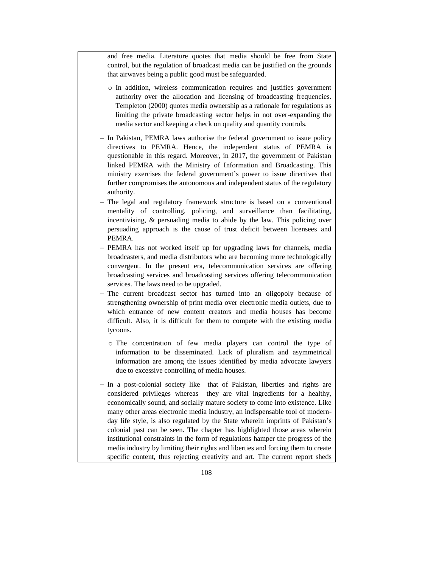and free media. Literature quotes that media should be free from State control, but the regulation of broadcast media can be justified on the grounds that airwaves being a public good must be safeguarded.

- o In addition, wireless communication requires and justifies government authority over the allocation and licensing of broadcasting frequencies. Templeton (2000) quotes media ownership as a rationale for regulations as limiting the private broadcasting sector helps in not over-expanding the media sector and keeping a check on quality and quantity controls.
- In Pakistan, PEMRA laws authorise the federal government to issue policy directives to PEMRA. Hence, the independent status of PEMRA is questionable in this regard. Moreover, in 2017, the government of Pakistan linked PEMRA with the Ministry of Information and Broadcasting. This ministry exercises the federal government's power to issue directives that further compromises the autonomous and independent status of the regulatory authority.
- The legal and regulatory framework structure is based on a conventional mentality of controlling, policing, and surveillance than facilitating, incentivising, & persuading media to abide by the law. This policing over persuading approach is the cause of trust deficit between licensees and PEMRA.
- PEMRA has not worked itself up for upgrading laws for channels, media broadcasters, and media distributors who are becoming more technologically convergent. In the present era, telecommunication services are offering broadcasting services and broadcasting services offering telecommunication services. The laws need to be upgraded.
- The current broadcast sector has turned into an oligopoly because of strengthening ownership of print media over electronic media outlets, due to which entrance of new content creators and media houses has become difficult. Also, it is difficult for them to compete with the existing media tycoons.
	- o The concentration of few media players can control the type of information to be disseminated. Lack of pluralism and asymmetrical information are among the issues identified by media advocate lawyers due to excessive controlling of media houses.
- In a post-colonial society like that of Pakistan, liberties and rights are considered privileges whereas they are vital ingredients for a healthy, economically sound, and socially mature society to come into existence. Like many other areas electronic media industry, an indispensable tool of modernday life style, is also regulated by the State wherein imprints of Pakistan's colonial past can be seen. The chapter has highlighted those areas wherein institutional constraints in the form of regulations hamper the progress of the media industry by limiting their rights and liberties and forcing them to create specific content, thus rejecting creativity and art. The current report sheds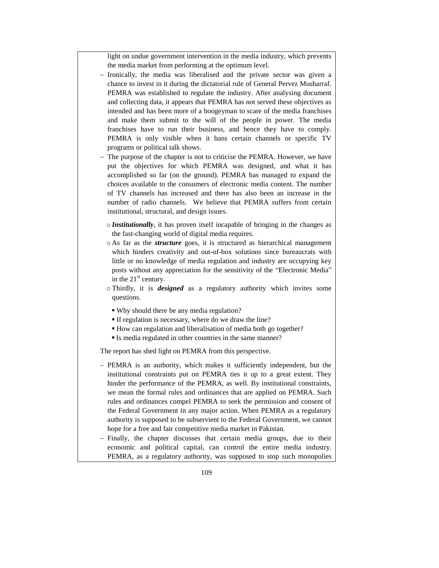light on undue government intervention in the media industry, which prevents the media market from performing at the optimum level.

- Ironically, the media was liberalised and the private sector was given a chance to invest in it during the dictatorial rule of General Pervez Musharraf. PEMRA was established to regulate the industry. After analysing document and collecting data, it appears that PEMRA has not served these objectives as intended and has been more of a boogeyman to scare of the media franchises and make them submit to the will of the people in power. The media franchises have to run their business, and hence they have to comply. PEMRA is only visible when it bans certain channels or specific TV programs or political talk shows.
- $-$  The purpose of the chapter is not to criticise the PEMRA. However, we have put the objectives for which PEMRA was designed, and what it has accomplished so far (on the ground). PEMRA has managed to expand the choices available to the consumers of electronic media content. The number of TV channels has increased and there has also been an increase in the number of radio channels. We believe that PEMRA suffers from certain institutional, structural, and design issues.
	- o *Institutionally*, it has proven itself incapable of bringing in the changes as the fast-changing world of digital media requires.
	- o As far as the *structure* goes, it is structured as hierarchical management which hinders creativity and out-of-box solutions since bureaucrats with little or no knowledge of media regulation and industry are occupying key posts without any appreciation for the sensitivity of the "Electronic Media" in the  $21<sup>st</sup>$  century.
	- o Thirdly, it is *designed* as a regulatory authority which invites some questions.
		- Why should there be any media regulation?
		- If regulation is necessary, where do we draw the line?
		- How can regulation and liberalisation of media both go together?
		- Is media regulated in other countries in the same manner?

The report has shed light on PEMRA from this perspective.

- PEMRA is an authority, which makes it sufficiently independent, but the institutional constraints put on PEMRA ties it up to a great extent. They hinder the performance of the PEMRA, as well. By institutional constraints, we mean the formal rules and ordinances that are applied on PEMRA. Such rules and ordinances compel PEMRA to seek the permission and consent of the Federal Government in any major action. When PEMRA as a regulatory authority is supposed to be subservient to the Federal Government, we cannot hope for a free and fair competitive media market in Pakistan.
- Finally, the chapter discusses that certain media groups, due to their economic and political capital, can control the entire media industry. PEMRA, as a regulatory authority, was supposed to stop such monopolies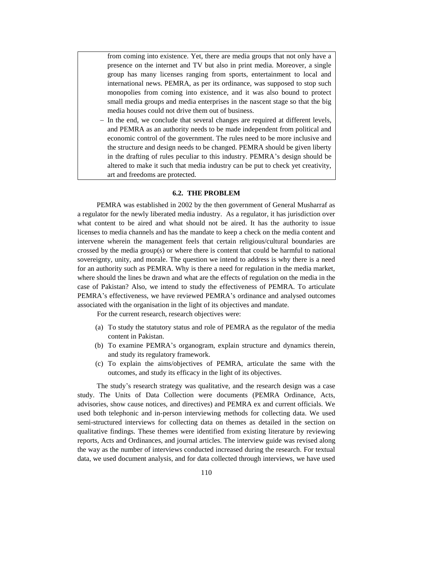from coming into existence. Yet, there are media groups that not only have a presence on the internet and TV but also in print media. Moreover, a single group has many licenses ranging from sports, entertainment to local and international news. PEMRA, as per its ordinance, was supposed to stop such monopolies from coming into existence, and it was also bound to protect small media groups and media enterprises in the nascent stage so that the big media houses could not drive them out of business.

 In the end, we conclude that several changes are required at different levels, and PEMRA as an authority needs to be made independent from political and economic control of the government. The rules need to be more inclusive and the structure and design needs to be changed. PEMRA should be given liberty in the drafting of rules peculiar to this industry. PEMRA's design should be altered to make it such that media industry can be put to check yet creativity, art and freedoms are protected.

## **6.2. THE PROBLEM**

PEMRA was established in 2002 by the then government of General Musharraf as a regulator for the newly liberated media industry. As a regulator, it has jurisdiction over what content to be aired and what should not be aired. It has the authority to issue licenses to media channels and has the mandate to keep a check on the media content and intervene wherein the management feels that certain religious/cultural boundaries are crossed by the media group(s) or where there is content that could be harmful to national sovereignty, unity, and morale. The question we intend to address is why there is a need for an authority such as PEMRA. Why is there a need for regulation in the media market, where should the lines be drawn and what are the effects of regulation on the media in the case of Pakistan? Also, we intend to study the effectiveness of PEMRA. To articulate PEMRA's effectiveness, we have reviewed PEMRA's ordinance and analysed outcomes associated with the organisation in the light of its objectives and mandate.

For the current research, research objectives were:

- (a) To study the statutory status and role of PEMRA as the regulator of the media content in Pakistan.
- (b) To examine PEMRA's organogram, explain structure and dynamics therein, and study its regulatory framework.
- (c) To explain the aims/objectives of PEMRA, articulate the same with the outcomes, and study its efficacy in the light of its objectives.

The study's research strategy was qualitative, and the research design was a case study. The Units of Data Collection were documents (PEMRA Ordinance, Acts, advisories, show cause notices, and directives) and PEMRA ex and current officials. We used both telephonic and in-person interviewing methods for collecting data. We used semi-structured interviews for collecting data on themes as detailed in the section on qualitative findings. These themes were identified from existing literature by reviewing reports, Acts and Ordinances, and journal articles. The interview guide was revised along the way as the number of interviews conducted increased during the research. For textual data, we used document analysis, and for data collected through interviews, we have used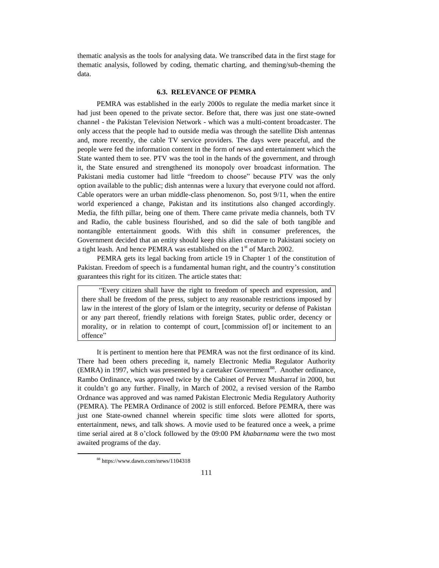thematic analysis as the tools for analysing data. We transcribed data in the first stage for thematic analysis, followed by coding, thematic charting, and theming/sub-theming the data.

### **6.3. RELEVANCE OF PEMRA**

PEMRA was established in the early 2000s to regulate the media market since it had just been opened to the private sector. Before that, there was just one state-owned channel - the Pakistan Television Network - which was a multi-content broadcaster. The only access that the people had to outside media was through the satellite Dish antennas and, more recently, the cable TV service providers. The days were peaceful, and the people were fed the information content in the form of news and entertainment which the State wanted them to see. PTV was the tool in the hands of the government, and through it, the State ensured and strengthened its monopoly over broadcast information. The Pakistani media customer had little "freedom to choose" because PTV was the only option available to the public; dish antennas were a luxury that everyone could not afford. Cable operators were an urban middle-class phenomenon. So, post 9/11, when the entire world experienced a change, Pakistan and its institutions also changed accordingly. Media, the fifth pillar, being one of them. There came private media channels, both TV and Radio, the cable business flourished, and so did the sale of both tangible and nontangible entertainment goods. With this shift in consumer preferences, the Government decided that an entity should keep this alien creature to Pakistani society on a tight leash. And hence PEMRA was established on the  $1<sup>st</sup>$  of March 2002.

PEMRA gets its legal backing from article 19 in Chapter 1 of the constitution of Pakistan. Freedom of speech is a fundamental human right, and the country's constitution guarantees this right for its citizen. The article states that:

"Every citizen shall have the right to freedom of speech and expression, and there shall be freedom of the press, subject to any reasonable restrictions imposed by law in the interest of the glory of Islam or the integrity, security or defense of Pakistan or any part thereof, friendly relations with foreign States, public order, decency or morality, or in relation to contempt of court, [commission of] or incitement to an offence"

It is pertinent to mention here that PEMRA was not the first ordinance of its kind. There had been others preceding it, namely Electronic Media Regulator Authority (EMRA) in 1997, which was presented by a caretaker Government<sup>88</sup>. Another ordinance, Rambo Ordinance, was approved twice by the Cabinet of Pervez Musharraf in 2000, but it couldn't go any further. Finally, in March of 2002, a revised version of the Rambo Ordnance was approved and was named Pakistan Electronic Media Regulatory Authority (PEMRA). The PEMRA Ordinance of 2002 is still enforced. Before PEMRA, there was just one State-owned channel wherein specific time slots were allotted for sports, entertainment, news, and talk shows. A movie used to be featured once a week, a prime time serial aired at 8 o'clock followed by the 09:00 PM *khabarnama* were the two most awaited programs of the day.

<sup>88</sup> https://www.dawn.com/news/1104318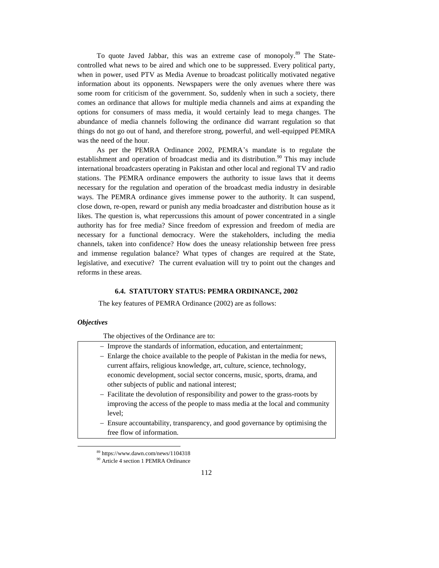To quote Javed Jabbar, this was an extreme case of monopoly.<sup>89</sup> The Statecontrolled what news to be aired and which one to be suppressed. Every political party, when in power, used PTV as Media Avenue to broadcast politically motivated negative information about its opponents. Newspapers were the only avenues where there was some room for criticism of the government. So, suddenly when in such a society, there comes an ordinance that allows for multiple media channels and aims at expanding the options for consumers of mass media, it would certainly lead to mega changes. The abundance of media channels following the ordinance did warrant regulation so that things do not go out of hand, and therefore strong, powerful, and well-equipped PEMRA was the need of the hour.

As per the PEMRA Ordinance 2002, PEMRA's mandate is to regulate the establishment and operation of broadcast media and its distribution.<sup>90</sup> This may include international broadcasters operating in Pakistan and other local and regional TV and radio stations. The PEMRA ordinance empowers the authority to issue laws that it deems necessary for the regulation and operation of the broadcast media industry in desirable ways. The PEMRA ordinance gives immense power to the authority. It can suspend, close down, re-open, reward or punish any media broadcaster and distribution house as it likes. The question is, what repercussions this amount of power concentrated in a single authority has for free media? Since freedom of expression and freedom of media are necessary for a functional democracy. Were the stakeholders, including the media channels, taken into confidence? How does the uneasy relationship between free press and immense regulation balance? What types of changes are required at the State, legislative, and executive? The current evaluation will try to point out the changes and reforms in these areas.

### **6.4. STATUTORY STATUS: PEMRA ORDINANCE, 2002**

The key features of PEMRA Ordinance (2002) are as follows:

## *Objectives*

 $\overline{a}$ 

The objectives of the Ordinance are to:

| - Improve the standards of information, education, and entertainment;           |
|---------------------------------------------------------------------------------|
| - Enlarge the choice available to the people of Pakistan in the media for news, |
| current affairs, religious knowledge, art, culture, science, technology,        |
| economic development, social sector concerns, music, sports, drama, and         |
| other subjects of public and national interest;                                 |
| - Facilitate the devolution of responsibility and power to the grass-roots by   |
| improving the access of the people to mass media at the local and community     |
| level:                                                                          |
| - Ensure accountability, transparency, and good governance by optimising the    |
| free flow of information.                                                       |
|                                                                                 |
|                                                                                 |

<sup>89</sup> https://www.dawn.com/news/1104318 <sup>90</sup> Article 4 section 1 PEMRA Ordinance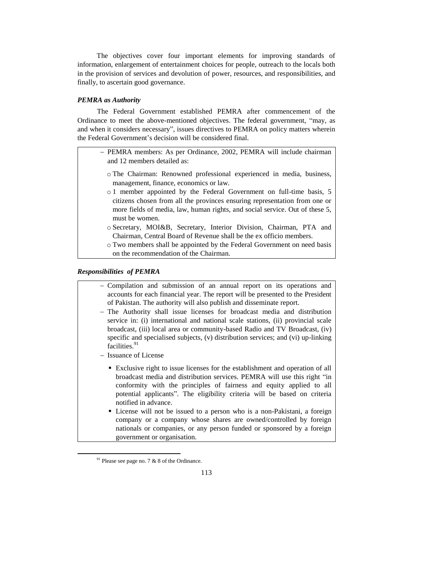The objectives cover four important elements for improving standards of information, enlargement of entertainment choices for people, outreach to the locals both in the provision of services and devolution of power, resources, and responsibilities, and finally, to ascertain good governance.

## *PEMRA as Authority*

The Federal Government established PEMRA after commencement of the Ordinance to meet the above-mentioned objectives. The federal government, "may, as and when it considers necessary", issues directives to PEMRA on policy matters wherein the Federal Government's decision will be considered final.

- PEMRA members: As per Ordinance, 2002, PEMRA will include chairman and 12 members detailed as:
	- o The Chairman: Renowned professional experienced in media, business, management, finance, economics or law.
	- o 1 member appointed by the Federal Government on full-time basis, 5 citizens chosen from all the provinces ensuring representation from one or more fields of media, law, human rights, and social service. Out of these 5, must be women.
	- o Secretary, MOI&B, Secretary, Interior Division, Chairman, PTA and Chairman, Central Board of Revenue shall be the ex officio members.
	- o Two members shall be appointed by the Federal Government on need basis on the recommendation of the Chairman.

## *Responsibilities of PEMRA*

- Compilation and submission of an annual report on its operations and accounts for each financial year. The report will be presented to the President of Pakistan. The authority will also publish and disseminate report.
- The Authority shall issue licenses for broadcast media and distribution service in: (i) international and national scale stations, (ii) provincial scale broadcast, (iii) local area or community-based Radio and TV Broadcast, (iv) specific and specialised subjects, (v) distribution services; and (vi) up-linking facilities.<sup>91</sup>
- Issuance of License
	- Exclusive right to issue licenses for the establishment and operation of all broadcast media and distribution services. PEMRA will use this right "in conformity with the principles of fairness and equity applied to all potential applicants". The eligibility criteria will be based on criteria notified in advance.
	- License will not be issued to a person who is a non-Pakistani, a foreign company or a company whose shares are owned/controlled by foreign nationals or companies, or any person funded or sponsored by a foreign government or organisation.

 $91$  Please see page no. 7 & 8 of the Ordinance.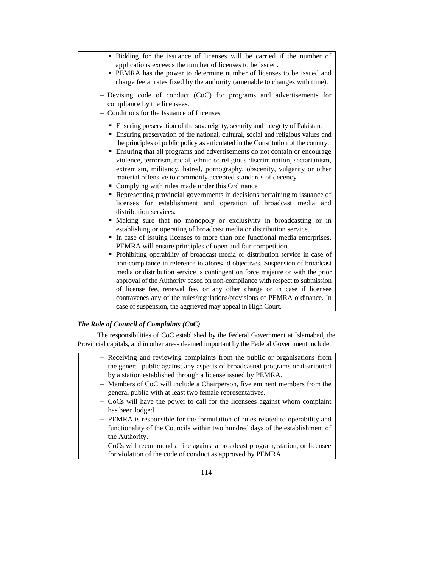| • Bidding for the issuance of licenses will be carried if the number of<br>applications exceeds the number of licenses to be issued.<br>• PEMRA has the power to determine number of licenses to be issued and<br>charge fee at rates fixed by the authority (amenable to changes with time).<br>- Devising code of conduct (CoC) for programs and advertisements for<br>compliance by the licensees.<br>- Conditions for the Issuance of Licenses                                                                                                                                                                                                                                                                                                                                                                                                                                                                                                                                                                                                                                                                                                                                                                                                                                                                                                                                                                                                                                                                                                                                                      |
|---------------------------------------------------------------------------------------------------------------------------------------------------------------------------------------------------------------------------------------------------------------------------------------------------------------------------------------------------------------------------------------------------------------------------------------------------------------------------------------------------------------------------------------------------------------------------------------------------------------------------------------------------------------------------------------------------------------------------------------------------------------------------------------------------------------------------------------------------------------------------------------------------------------------------------------------------------------------------------------------------------------------------------------------------------------------------------------------------------------------------------------------------------------------------------------------------------------------------------------------------------------------------------------------------------------------------------------------------------------------------------------------------------------------------------------------------------------------------------------------------------------------------------------------------------------------------------------------------------|
| • Ensuring preservation of the sovereignty, security and integrity of Pakistan.<br>• Ensuring preservation of the national, cultural, social and religious values and<br>the principles of public policy as articulated in the Constitution of the country.<br>• Ensuring that all programs and advertisements do not contain or encourage<br>violence, terrorism, racial, ethnic or religious discrimination, sectarianism,<br>extremism, militancy, hatred, pornography, obscenity, vulgarity or other<br>material offensive to commonly accepted standards of decency<br>• Complying with rules made under this Ordinance<br>Representing provincial governments in decisions pertaining to issuance of<br>licenses for establishment and operation of broadcast media and<br>distribution services.<br>Making sure that no monopoly or exclusivity in broadcasting or in<br>٠<br>establishing or operating of broadcast media or distribution service.<br>In case of issuing licenses to more than one functional media enterprises,<br>٠<br>PEMRA will ensure principles of open and fair competition.<br>Prohibiting operability of broadcast media or distribution service in case of<br>non-compliance in reference to aforesaid objectives. Suspension of broadcast<br>media or distribution service is contingent on force majeure or with the prior<br>approval of the Authority based on non-compliance with respect to submission<br>of license fee, renewal fee, or any other charge or in case if licensee<br>contravenes any of the rules/regulations/provisions of PEMRA ordinance. In |
| case of suspension, the aggrieved may appeal in High Court.                                                                                                                                                                                                                                                                                                                                                                                                                                                                                                                                                                                                                                                                                                                                                                                                                                                                                                                                                                                                                                                                                                                                                                                                                                                                                                                                                                                                                                                                                                                                             |

# *The Role of Council of Complaints (CoC)*

The responsibilities of CoC established by the Federal Government at Islamabad, the Provincial capitals, and in other areas deemed important by the Federal Government include:

- Receiving and reviewing complaints from the public or organisations from the general public against any aspects of broadcasted programs or distributed by a station established through a license issued by PEMRA.
	- Members of CoC will include a Chairperson, five eminent members from the general public with at least two female representatives.
	- CoCs will have the power to call for the licensees against whom complaint has been lodged.
	- PEMRA is responsible for the formulation of rules related to operability and functionality of the Councils within two hundred days of the establishment of the Authority.
	- CoCs will recommend a fine against a broadcast program, station, or licensee for violation of the code of conduct as approved by PEMRA.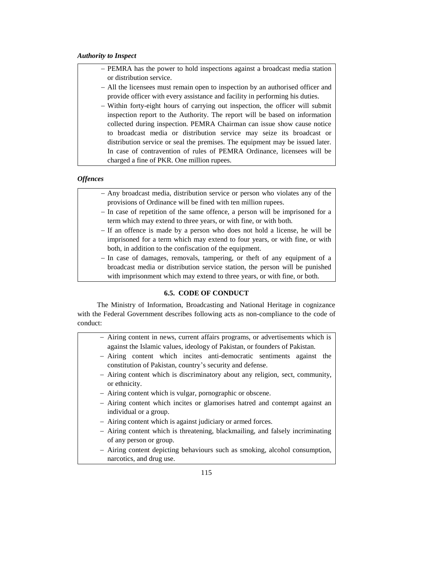# *Authority to Inspect*

- PEMRA has the power to hold inspections against a broadcast media station or distribution service.
- All the licensees must remain open to inspection by an authorised officer and provide officer with every assistance and facility in performing his duties.
- Within forty-eight hours of carrying out inspection, the officer will submit inspection report to the Authority. The report will be based on information collected during inspection. PEMRA Chairman can issue show cause notice to broadcast media or distribution service may seize its broadcast or distribution service or seal the premises. The equipment may be issued later. In case of contravention of rules of PEMRA Ordinance, licensees will be charged a fine of PKR. One million rupees.

## *Offences*

- Any broadcast media, distribution service or person who violates any of the provisions of Ordinance will be fined with ten million rupees.
- In case of repetition of the same offence, a person will be imprisoned for a term which may extend to three years, or with fine, or with both.
- If an offence is made by a person who does not hold a license, he will be imprisoned for a term which may extend to four years, or with fine, or with both, in addition to the confiscation of the equipment.
- In case of damages, removals, tampering, or theft of any equipment of a broadcast media or distribution service station, the person will be punished with imprisonment which may extend to three years, or with fine, or both.

## **6.5. CODE OF CONDUCT**

The Ministry of Information, Broadcasting and National Heritage in cognizance with the Federal Government describes following acts as non-compliance to the code of conduct:

- Airing content in news, current affairs programs, or advertisements which is against the Islamic values, ideology of Pakistan, or founders of Pakistan.
- Airing content which incites anti-democratic sentiments against the constitution of Pakistan, country's security and defense.
- Airing content which is discriminatory about any religion, sect, community, or ethnicity.
- Airing content which is vulgar, pornographic or obscene.
- Airing content which incites or glamorises hatred and contempt against an individual or a group.
- Airing content which is against judiciary or armed forces.
- Airing content which is threatening, blackmailing, and falsely incriminating of any person or group.
- Airing content depicting behaviours such as smoking, alcohol consumption, narcotics, and drug use.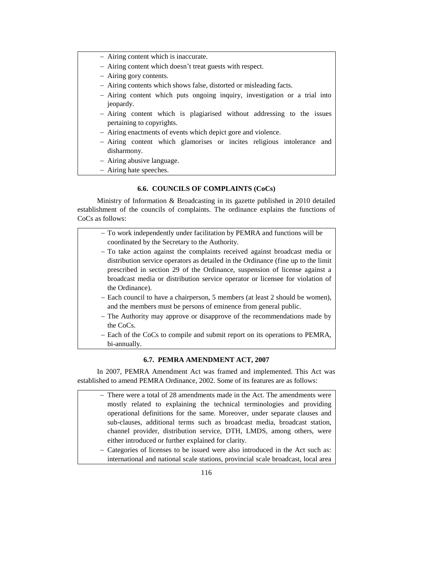- Airing content which is inaccurate.
- Airing content which doesn't treat guests with respect.
- Airing gory contents.
- Airing contents which shows false, distorted or misleading facts.
- Airing content which puts ongoing inquiry, investigation or a trial into jeopardy.
- Airing content which is plagiarised without addressing to the issues pertaining to copyrights.
- Airing enactments of events which depict gore and violence.
- Airing content which glamorises or incites religious intolerance and disharmony.
- Airing abusive language.
- Airing hate speeches.

# **6.6. COUNCILS OF COMPLAINTS (CoCs)**

Ministry of Information & Broadcasting in its gazette published in 2010 detailed establishment of the councils of complaints. The ordinance explains the functions of CoCs as follows:

| - To work independently under facilitation by PEMRA and functions will be                                                                         |  |
|---------------------------------------------------------------------------------------------------------------------------------------------------|--|
| coordinated by the Secretary to the Authority.                                                                                                    |  |
| - To take action against the complaints received against broadcast media or                                                                       |  |
| distribution service operators as detailed in the Ordinance (fine up to the limit                                                                 |  |
| prescribed in section 29 of the Ordinance, suspension of license against a                                                                        |  |
| broadcast media or distribution service operator or licensee for violation of                                                                     |  |
| the Ordinance).                                                                                                                                   |  |
| - Each council to have a chairperson, 5 members (at least 2 should be women),<br>and the members must be persons of eminence from general public. |  |
| - The Authority may approve or disapprove of the recommendations made by<br>the CoCs.                                                             |  |
| - Each of the CoCs to compile and submit report on its operations to PEMRA,<br>bi-annually.                                                       |  |

## **6.7. PEMRA AMENDMENT ACT, 2007**

In 2007, PEMRA Amendment Act was framed and implemented. This Act was established to amend PEMRA Ordinance, 2002. Some of its features are as follows:

- There were a total of 28 amendments made in the Act. The amendments were mostly related to explaining the technical terminologies and providing operational definitions for the same. Moreover, under separate clauses and sub-clauses, additional terms such as broadcast media, broadcast station, channel provider, distribution service, DTH, LMDS, among others, were either introduced or further explained for clarity.
- Categories of licenses to be issued were also introduced in the Act such as: international and national scale stations, provincial scale broadcast, local area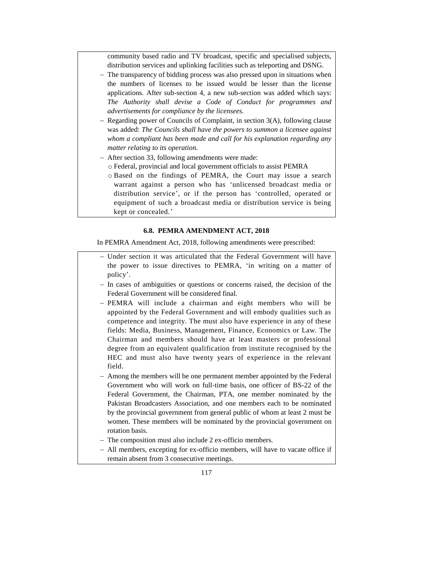community based radio and TV broadcast, specific and specialised subjects, distribution services and uplinking facilities such as teleporting and DSNG.

- The transparency of bidding process was also pressed upon in situations when the numbers of licenses to be issued would be lesser than the license applications. After sub-section 4, a new sub-section was added which says: *The Authority shall devise a Code of Conduct for programmes and advertisements for compliance by the licensees.*
- Regarding power of Councils of Complaint, in section 3(A), following clause was added: *The Councils shall have the powers to summon a licensee against whom a compliant has been made and call for his explanation regarding any matter relating to its operation.*
- After section 33, following amendments were made:
	- o Federal, provincial and local government officials to assist PEMRA
	- o Based on the findings of PEMRA, the Court may issue a search warrant against a person who has 'unlicensed broadcast media or distribution service', or if the person has 'controlled, operated or equipment of such a broadcast media or distribution service is being kept or concealed.'

### **6.8. PEMRA AMENDMENT ACT, 2018**

In PEMRA Amendment Act, 2018, following amendments were prescribed:

- Under section it was articulated that the Federal Government will have the power to issue directives to PEMRA, 'in writing on a matter of policy'.
- In cases of ambiguities or questions or concerns raised, the decision of the Federal Government will be considered final.
- PEMRA will include a chairman and eight members who will be appointed by the Federal Government and will embody qualities such as competence and integrity. The must also have experience in any of these fields: Media, Business, Management, Finance, Economics or Law. The Chairman and members should have at least masters or professional degree from an equivalent qualification from institute recognised by the HEC and must also have twenty years of experience in the relevant field.
- Among the members will be one permanent member appointed by the Federal Government who will work on full-time basis, one officer of BS-22 of the Federal Government, the Chairman, PTA, one member nominated by the Pakistan Broadcasters Association, and one members each to be nominated by the provincial government from general public of whom at least 2 must be women. These members will be nominated by the provincial government on rotation basis.
- The composition must also include 2 ex-officio members.
- All members, excepting for ex-officio members, will have to vacate office if remain absent from 3 consecutive meetings.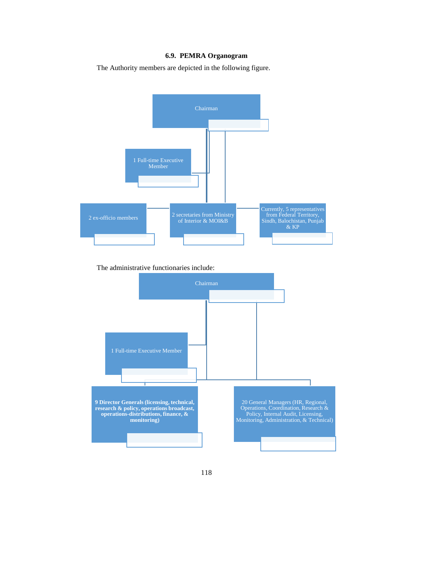# **6.9. PEMRA Organogram**

The Authority members are depicted in the following figure.



The administrative functionaries include:

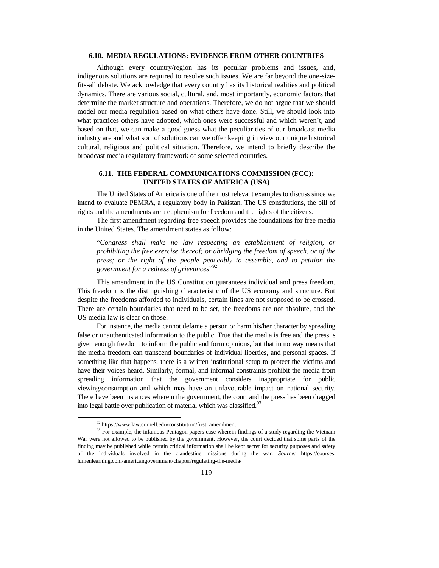## **6.10. MEDIA REGULATIONS: EVIDENCE FROM OTHER COUNTRIES**

Although every country/region has its peculiar problems and issues, and, indigenous solutions are required to resolve such issues. We are far beyond the one-sizefits-all debate. We acknowledge that every country has its historical realities and political dynamics. There are various social, cultural, and, most importantly, economic factors that determine the market structure and operations. Therefore, we do not argue that we should model our media regulation based on what others have done. Still, we should look into what practices others have adopted, which ones were successful and which weren't, and based on that, we can make a good guess what the peculiarities of our broadcast media industry are and what sort of solutions can we offer keeping in view our unique historical cultural, religious and political situation. Therefore, we intend to briefly describe the broadcast media regulatory framework of some selected countries.

# **6.11. THE FEDERAL COMMUNICATIONS COMMISSION (FCC): UNITED STATES OF AMERICA (USA)**

The United States of America is one of the most relevant examples to discuss since we intend to evaluate PEMRA, a regulatory body in Pakistan. The US constitutions, the bill of rights and the amendments are a euphemism for freedom and the rights of the citizens.

The first amendment regarding free speech provides the foundations for free media in the United States. The amendment states as follow:

"*Congress shall make no law respecting an establishment of religion, or prohibiting the free exercise thereof; or abridging the freedom of speech, or of the press; or the right of the people peaceably to assemble, and to petition the government for a redress of grievances*" 92

This amendment in the US Constitution guarantees individual and press freedom. This freedom is the distinguishing characteristic of the US economy and structure. But despite the freedoms afforded to individuals, certain lines are not supposed to be crossed. There are certain boundaries that need to be set, the freedoms are not absolute, and the US media law is clear on those.

For instance, the media cannot defame a person or harm his/her character by spreading false or unauthenticated information to the public. True that the media is free and the press is given enough freedom to inform the public and form opinions, but that in no way means that the media freedom can transcend boundaries of individual liberties, and personal spaces. If something like that happens, there is a written institutional setup to protect the victims and have their voices heard. Similarly, formal, and informal constraints prohibit the media from spreading information that the government considers inappropriate for public viewing/consumption and which may have an unfavourable impact on national security. There have been instances wherein the government, the court and the press has been dragged into legal battle over publication of material which was classified.<sup>93</sup>

<sup>92</sup> https://www.law.cornell.edu/constitution/first\_amendment

 $93$  For example, the infamous Pentagon papers case wherein findings of a study regarding the Vietnam War were not allowed to be published by the government. However, the court decided that some parts of the finding may be published while certain critical information shall be kept secret for security purposes and safety of the individuals involved in the clandestine missions during the war. *Source:* https://courses. lumenlearning.com/americangovernment/chapter/regulating-the-media/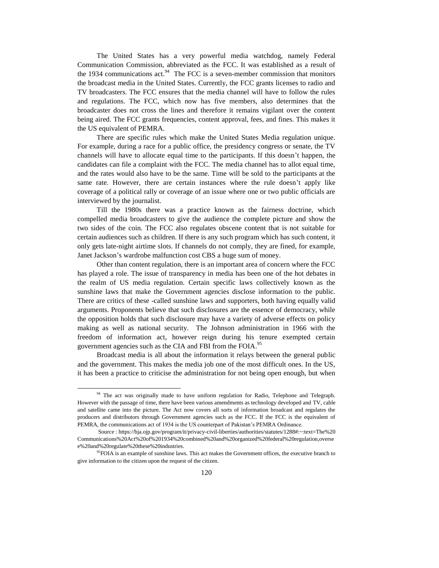The United States has a very powerful media watchdog, namely Federal Communication Commission, abbreviated as the FCC. It was established as a result of the 1934 communications act.  $94$  The FCC is a seven-member commission that monitors the broadcast media in the United States. Currently, the FCC grants licenses to radio and TV broadcasters. The FCC ensures that the media channel will have to follow the rules and regulations. The FCC, which now has five members, also determines that the broadcaster does not cross the lines and therefore it remains vigilant over the content being aired. The FCC grants frequencies, content approval, fees, and fines. This makes it the US equivalent of PEMRA.

There are specific rules which make the United States Media regulation unique. For example, during a race for a public office, the presidency congress or senate, the TV channels will have to allocate equal time to the participants. If this doesn't happen, the candidates can file a complaint with the FCC. The media channel has to allot equal time, and the rates would also have to be the same. Time will be sold to the participants at the same rate. However, there are certain instances where the rule doesn't apply like coverage of a political rally or coverage of an issue where one or two public officials are interviewed by the journalist.

Till the 1980s there was a practice known as the fairness doctrine, which compelled media broadcasters to give the audience the complete picture and show the two sides of the coin. The FCC also regulates obscene content that is not suitable for certain audiences such as children. If there is any such program which has such content, it only gets late-night airtime slots. If channels do not comply, they are fined, for example, Janet Jackson's wardrobe malfunction cost CBS a huge sum of money.

Other than content regulation, there is an important area of concern where the FCC has played a role. The issue of transparency in media has been one of the hot debates in the realm of US media regulation. Certain specific laws collectively known as the sunshine laws that make the Government agencies disclose information to the public. There are critics of these -called sunshine laws and supporters, both having equally valid arguments. Proponents believe that such disclosures are the essence of democracy, while the opposition holds that such disclosure may have a variety of adverse effects on policy making as well as national security. The Johnson administration in 1966 with the freedom of information act, however reign during his tenure exempted certain government agencies such as the CIA and FBI from the FOIA.<sup>95</sup>

Broadcast media is all about the information it relays between the general public and the government. This makes the media job one of the most difficult ones. In the US, it has been a practice to criticise the administration for not being open enough, but when

 $\overline{\phantom{a}}$ 

<sup>&</sup>lt;sup>94</sup> The act was originally made to have uniform regulation for Radio, Telephone and Telegraph. However with the passage of time, there have been various amendments as technology developed and TV, cable and satellite came into the picture. The Act now covers all sorts of information broadcast and regulates the producers and distributors through Government agencies such as the FCC. If the FCC is the equivalent of PEMRA, the communications act of 1934 is the US counterpart of Pakistan's PEMRA Ordinance.

Source : https://bja.ojp.gov/program/it/privacy-civil-liberties/authorities/statutes/1288#:~:text=The%20 Communications%20Act%20of%201934%20combined%20and%20organized%20federal%20regulation,overse e%20and%20regulate%20these%20industries.

<sup>&</sup>lt;sup>95</sup>FOIA is an example of sunshine laws. This act makes the Government offices, the executive branch to give information to the citizen upon the request of the citizen.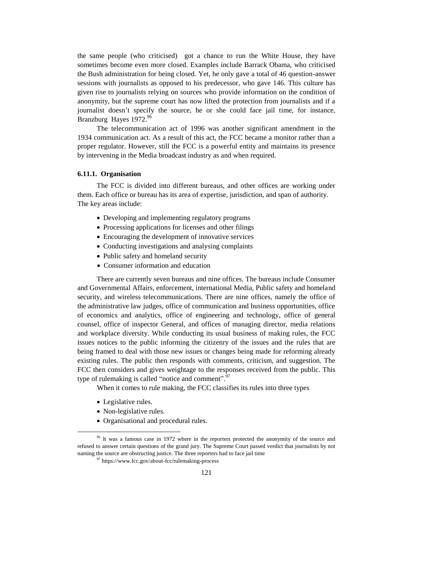the same people (who criticised) got a chance to run the White House, they have sometimes become even more closed. Examples include Barrack Obama, who criticised the Bush administration for being closed. Yet, he only gave a total of 46 question-answer sessions with journalists as opposed to his predecessor, who gave 146. This culture has given rise to journalists relying on sources who provide information on the condition of anonymity, but the supreme court has now lifted the protection from journalists and if a journalist doesn't specify the source, he or she could face jail time, for instance, Branzburg Hayes 1972.<sup>96</sup>

The telecommunication act of 1996 was another significant amendment in the 1934 communication act. As a result of this act, the FCC became a monitor rather than a proper regulator. However, still the FCC is a powerful entity and maintains its presence by intervening in the Media broadcast industry as and when required.

### **6.11.1. Organisation**

The FCC is divided into different bureaus, and other offices are working under them. Each office or bureau has its area of expertise, jurisdiction, and span of authority. The key areas include:

- Developing and implementing regulatory programs
- Processing applications for licenses and other filings
- Encouraging the development of innovative services
- Conducting investigations and analysing complaints
- Public safety and homeland security
- Consumer information and education

There are currently seven bureaus and nine offices. The bureaus include Consumer and Governmental Affairs, enforcement, international Media, Public safety and homeland security, and wireless telecommunications. There are nine offices, namely the office of the administrative law judges, office of communication and business opportunities, office of economics and analytics, office of engineering and technology, office of general counsel, office of inspector General, and offices of managing director, media relations and workplace diversity. While conducting its usual business of making rules, the FCC issues notices to the public informing the citizenry of the issues and the rules that are being framed to deal with those new issues or changes being made for reforming already existing rules. The public then responds with comments, criticism, and suggestion. The FCC then considers and gives weightage to the responses received from the public. This type of rulemaking is called "notice and comment".<sup>97</sup>

When it comes to rule making, the FCC classifies its rules into three types

• Legislative rules.

- Non-legislative rules.
- Organisational and procedural rules.

<sup>&</sup>lt;sup>96</sup> It was a famous case in 1972 where in the reporters protected the anonymity of the source and refused to answer certain questions of the grand jury. The Supreme Court passed verdict that journalists by not naming the source are obstructing justice. The three reporters had to face jail time

 $97$  https://www.fcc.gov/about-fcc/rulemaking-process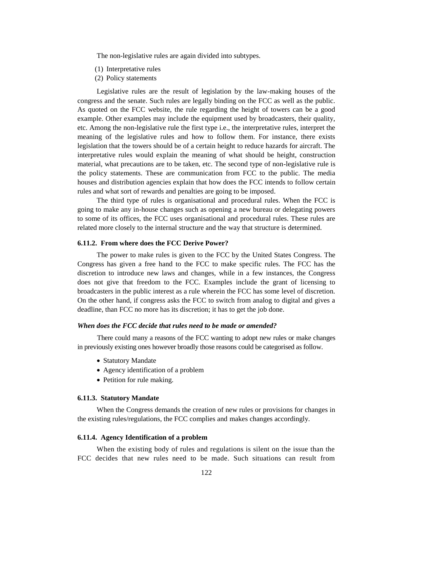The non-legislative rules are again divided into subtypes.

- (1) Interpretative rules
- (2) Policy statements

Legislative rules are the result of legislation by the law-making houses of the congress and the senate. Such rules are legally binding on the FCC as well as the public. As quoted on the FCC website, the rule regarding the height of towers can be a good example. Other examples may include the equipment used by broadcasters, their quality, etc. Among the non-legislative rule the first type i.e., the interpretative rules, interpret the meaning of the legislative rules and how to follow them. For instance, there exists legislation that the towers should be of a certain height to reduce hazards for aircraft. The interpretative rules would explain the meaning of what should be height, construction material, what precautions are to be taken, etc. The second type of non-legislative rule is the policy statements. These are communication from FCC to the public. The media houses and distribution agencies explain that how does the FCC intends to follow certain rules and what sort of rewards and penalties are going to be imposed.

The third type of rules is organisational and procedural rules. When the FCC is going to make any in-house changes such as opening a new bureau or delegating powers to some of its offices, the FCC uses organisational and procedural rules. These rules are related more closely to the internal structure and the way that structure is determined.

#### **6.11.2. From where does the FCC Derive Power?**

The power to make rules is given to the FCC by the United States Congress. The Congress has given a free hand to the FCC to make specific rules. The FCC has the discretion to introduce new laws and changes, while in a few instances, the Congress does not give that freedom to the FCC. Examples include the grant of licensing to broadcasters in the public interest as a rule wherein the FCC has some level of discretion. On the other hand, if congress asks the FCC to switch from analog to digital and gives a deadline, than FCC no more has its discretion; it has to get the job done.

### *When does the FCC decide that rules need to be made or amended?*

There could many a reasons of the FCC wanting to adopt new rules or make changes in previously existing ones however broadly those reasons could be categorised as follow.

- Statutory Mandate
- Agency identification of a problem
- Petition for rule making.

### **6.11.3. Statutory Mandate**

When the Congress demands the creation of new rules or provisions for changes in the existing rules/regulations, the FCC complies and makes changes accordingly.

## **6.11.4. Agency Identification of a problem**

When the existing body of rules and regulations is silent on the issue than the FCC decides that new rules need to be made. Such situations can result from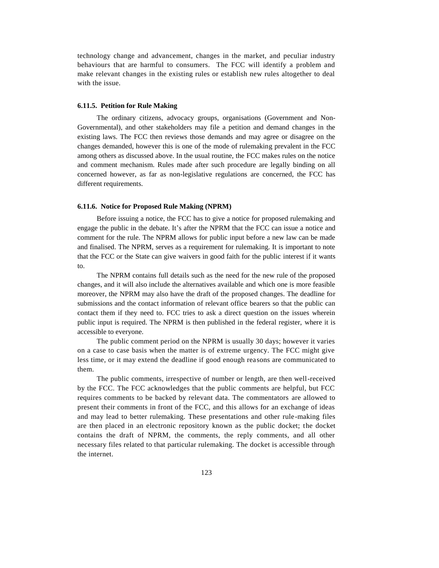technology change and advancement, changes in the market, and peculiar industry behaviours that are harmful to consumers. The FCC will identify a problem and make relevant changes in the existing rules or establish new rules altogether to deal with the issue.

### **6.11.5. Petition for Rule Making**

The ordinary citizens, advocacy groups, organisations (Government and Non-Governmental), and other stakeholders may file a petition and demand changes in the existing laws. The FCC then reviews those demands and may agree or disagree on the changes demanded, however this is one of the mode of rulemaking prevalent in the FCC among others as discussed above. In the usual routine, the FCC makes rules on the notice and comment mechanism. Rules made after such procedure are legally binding on all concerned however, as far as non-legislative regulations are concerned, the FCC has different requirements.

#### **6.11.6. Notice for Proposed Rule Making (NPRM)**

Before issuing a notice, the FCC has to give a notice for proposed rulemaking and engage the public in the debate. It's after the NPRM that the FCC can issue a notice and comment for the rule. The NPRM allows for public input before a new law can be made and finalised. The NPRM, serves as a requirement for rulemaking. It is important to note that the FCC or the State can give waivers in good faith for the public interest if it wants to.

The NPRM contains full details such as the need for the new rule of the proposed changes, and it will also include the alternatives available and which one is more feasible moreover, the NPRM may also have the draft of the proposed changes. The deadline for submissions and the contact information of relevant office bearers so that the public can contact them if they need to. FCC tries to ask a direct question on the issues wherein public input is required. The NPRM is then published in the federal register, where it is accessible to everyone.

The public comment period on the NPRM is usually 30 days; however it varies on a case to case basis when the matter is of extreme urgency. The FCC might give less time, or it may extend the deadline if good enough reasons are communicated to them.

The public comments, irrespective of number or length, are then well-received by the FCC. The FCC acknowledges that the public comments are helpful, but FCC requires comments to be backed by relevant data. The commentators are allowed to present their comments in front of the FCC, and this allows for an exchange of ideas and may lead to better rulemaking. These presentations and other rule-making files are then placed in an electronic repository known as the public docket; the docket contains the draft of NPRM, the comments, the reply comments, and all other necessary files related to that particular rulemaking. The docket is accessible through the internet.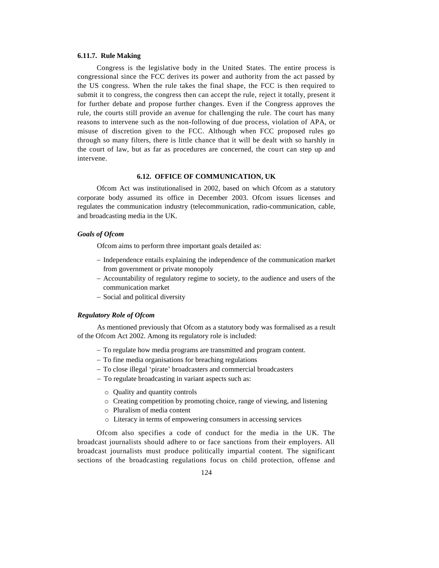## **6.11.7. Rule Making**

Congress is the legislative body in the United States. The entire process is congressional since the FCC derives its power and authority from the act passed by the US congress. When the rule takes the final shape, the FCC is then required to submit it to congress, the congress then can accept the rule, reject it totally, present it for further debate and propose further changes. Even if the Congress approves the rule, the courts still provide an avenue for challenging the rule. The court has many reasons to intervene such as the non-following of due process, violation of APA, or misuse of discretion given to the FCC. Although when FCC proposed rules go through so many filters, there is little chance that it will be dealt with so harshly in the court of law, but as far as procedures are concerned, the court can step up and intervene.

## **6.12. OFFICE OF COMMUNICATION, UK**

Ofcom Act was institutionalised in 2002, based on which Ofcom as a statutory corporate body assumed its office in December 2003. Ofcom issues licenses and regulates the communication industry (telecommunication, radio-communication, cable, and broadcasting media in the UK.

## *Goals of Ofcom*

Ofcom aims to perform three important goals detailed as:

- Independence entails explaining the independence of the communication market from government or private monopoly
- Accountability of regulatory regime to society, to the audience and users of the communication market
- Social and political diversity

## *Regulatory Role of Ofcom*

As mentioned previously that Ofcom as a statutory body was formalised as a result of the Ofcom Act 2002. Among its regulatory role is included:

- To regulate how media programs are transmitted and program content.
- To fine media organisations for breaching regulations
- To close illegal 'pirate' broadcasters and commercial broadcasters
- To regulate broadcasting in variant aspects such as:
	- o Quality and quantity controls
	- o Creating competition by promoting choice, range of viewing, and listening
	- o Pluralism of media content
	- o Literacy in terms of empowering consumers in accessing services

Ofcom also specifies a code of conduct for the media in the UK. The broadcast journalists should adhere to or face sanctions from their employers. All broadcast journalists must produce politically impartial content. The significant sections of the broadcasting regulations focus on child protection, offense and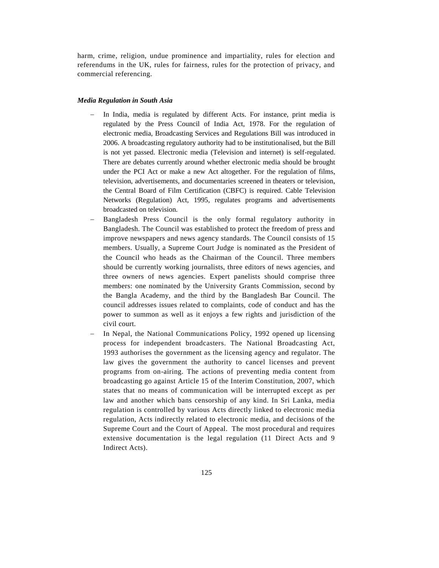harm, crime, religion, undue prominence and impartiality, rules for election and referendums in the UK, rules for fairness, rules for the protection of privacy, and commercial referencing.

### *Media Regulation in South Asia*

- In India, media is regulated by different Acts. For instance, print media is regulated by the Press Council of India Act, 1978. For the regulation of electronic media, Broadcasting Services and Regulations Bill was introduced in 2006. A broadcasting regulatory authority had to be institutionalised, but the Bill is not yet passed. Electronic media (Television and internet) is self-regulated. There are debates currently around whether electronic media should be brought under the PCI Act or make a new Act altogether. For the regulation of films, television, advertisements, and documentaries screened in theaters or television, the Central Board of Film Certification (CBFC) is required. Cable Television Networks (Regulation) Act, 1995, regulates programs and advertisements broadcasted on television.
- Bangladesh Press Council is the only formal regulatory authority in Bangladesh. The Council was established to protect the freedom of press and improve newspapers and news agency standards. The Council consists of 15 members. Usually, a Supreme Court Judge is nominated as the President of the Council who heads as the Chairman of the Council. Three members should be currently working journalists, three editors of news agencies, and three owners of news agencies. Expert panelists should comprise three members: one nominated by the University Grants Commission, second by the Bangla Academy, and the third by the Bangladesh Bar Council. The council addresses issues related to complaints, code of conduct and has the power to summon as well as it enjoys a few rights and jurisdiction of the civil court.
- In Nepal, the National Communications Policy, 1992 opened up licensing process for independent broadcasters. The National Broadcasting Act, 1993 authorises the government as the licensing agency and regulator. The law gives the government the authority to cancel licenses and prevent programs from on-airing. The actions of preventing media content from broadcasting go against Article 15 of the Interim Constitution, 2007, which states that no means of communication will be interrupted except as per law and another which bans censorship of any kind. In Sri Lanka, media regulation is controlled by various Acts directly linked to electronic media regulation, Acts indirectly related to electronic media, and decisions of the Supreme Court and the Court of Appeal. The most procedural and requires extensive documentation is the legal regulation (11 Direct Acts and 9 Indirect Acts).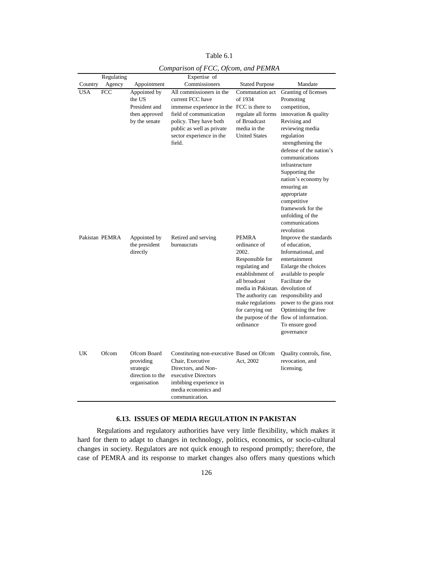|            | Regulating     |                                                                           | Expertise of                                                                                                                                                                                                     |                                                                                                                                                                                                                               |                                                                                                                                                                                                                                                                                                                                                                               |
|------------|----------------|---------------------------------------------------------------------------|------------------------------------------------------------------------------------------------------------------------------------------------------------------------------------------------------------------|-------------------------------------------------------------------------------------------------------------------------------------------------------------------------------------------------------------------------------|-------------------------------------------------------------------------------------------------------------------------------------------------------------------------------------------------------------------------------------------------------------------------------------------------------------------------------------------------------------------------------|
| Country    | Agency         | Appointment                                                               | Commissioners                                                                                                                                                                                                    | <b>Stated Purpose</b>                                                                                                                                                                                                         | Mandate                                                                                                                                                                                                                                                                                                                                                                       |
| <b>USA</b> | <b>FCC</b>     | Appointed by<br>the US<br>President and<br>then approved<br>by the senate | All commissioners in the<br>current FCC have<br>immense experience in the FCC is there to<br>field of communication<br>policy. They have both<br>public as well as private<br>sector experience in the<br>field. | Commutation act<br>of 1934<br>regulate all forms<br>of Broadcast<br>media in the<br><b>United States</b>                                                                                                                      | Granting of licenses<br>Promoting<br>competition,<br>innovation & quality<br>Revising and<br>reviewing media<br>regulation<br>strengthening the<br>defense of the nation's<br>communications<br>infrastructure<br>Supporting the<br>nation's economy by<br>ensuring an<br>appropriate<br>competitive<br>framework for the<br>unfolding of the<br>communications<br>revolution |
|            | Pakistan PEMRA | Appointed by<br>the president<br>directly                                 | Retired and serving<br>bureaucrats                                                                                                                                                                               | <b>PEMRA</b><br>ordinance of<br>2002.<br>Responsible for<br>regulating and<br>establishment of<br>all broadcast<br>media in Pakistan. devolution of<br>The authority can<br>make regulations<br>for carrying out<br>ordinance | Improve the standards<br>of education,<br>Informational, and<br>entertainment<br>Enlarge the choices<br>available to people<br>Facilitate the<br>responsibility and<br>power to the grass root<br>Optimising the free<br>the purpose of the flow of information.<br>To ensure good<br>governance                                                                              |
| UK         | Ofcom          | Ofcom Board<br>providing<br>strategic<br>direction to the<br>organisation | Constituting non-executive Based on Ofcom<br>Chair, Executive<br>Directors, and Non-<br>executive Directors<br>imbibing experience in<br>media economics and<br>communication.                                   | Act, 2002                                                                                                                                                                                                                     | Quality controls, fine,<br>revocation, and<br>licensing.                                                                                                                                                                                                                                                                                                                      |

Table 6.1 *Comparison of FCC, Ofcom, and PEMRA*

# **6.13. ISSUES OF MEDIA REGULATION IN PAKISTAN**

Regulations and regulatory authorities have very little flexibility, which makes it hard for them to adapt to changes in technology, politics, economics, or socio-cultural changes in society. Regulators are not quick enough to respond promptly; therefore, the case of PEMRA and its response to market changes also offers many questions which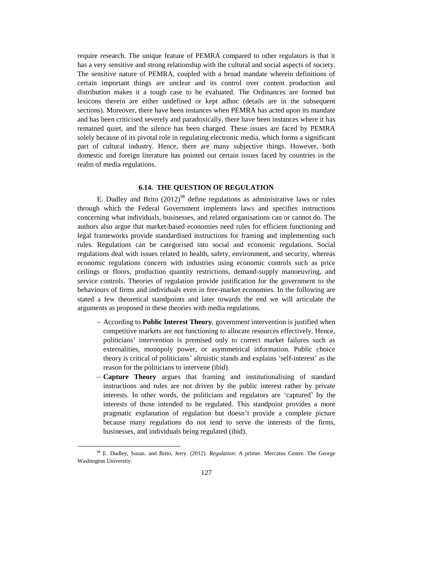require research. The unique feature of PEMRA compared to other regulators is that it has a very sensitive and strong relationship with the cultural and social aspects of society. The sensitive nature of PEMRA, coupled with a broad mandate wherein definitions of certain important things are unclear and its control over content production and distribution makes it a tough case to be evaluated. The Ordinances are formed but lexicons therein are either undefined or kept adhoc (details are in the subsequent sections). Moreover, there have been instances when PEMRA has acted upon its mandate and has been criticised severely and paradoxically, there have been instances where it has remained quiet, and the silence has been charged. These issues are faced by PEMRA solely because of its pivotal role in regulating electronic media, which forms a significant part of cultural industry. Hence, there are many subjective things. However, both domestic and foreign literature has pointed out certain issues faced by countries in the realm of media regulations.

### **6.14. THE QUESTION OF REGULATION**

E. Dudley and Brito  $(2012)^{98}$  define regulations as administrative laws or rules through which the Federal Government implements laws and specifies instructions concerning what individuals, businesses, and related organisations can or cannot do. The authors also argue that market-based economies need rules for efficient functioning and legal frameworks provide standardised instructions for framing and implementing such rules. Regulations can be categorised into social and economic regulations. Social regulations deal with issues related to health, safety, environment, and security, whereas economic regulations concern with industries using economic controls such as price ceilings or floors, production quantity restrictions, demand-supply manoeuvring, and service controls. Theories of regulation provide justification for the government to the behaviours of firms and individuals even in free-market economies. In the following are stated a few theoretical standpoints and later towards the end we will articulate the arguments as proposed in these theories with media regulations.

- According to **Public Interest Theory**, government intervention is justified when competitive markets are not functioning to allocate resources effectively. Hence, politicians' intervention is premised only to correct market failures such as externalities, monopoly power, or asymmetrical information. Public choice theory is critical of politicians' altruistic stands and explains 'self-interest' as the reason for the politicians to intervene (ibid).
- **Capture Theory** argues that framing and institutionalising of standard instructions and rules are not driven by the public interest rather by private interests. In other words, the politicians and regulators are 'captured' by the interests of those intended to be regulated. This standpoint provides a more pragmatic explanation of regulation but doesn't provide a complete picture because many regulations do not tend to serve the interests of the firms, businesses, and individuals being regulated (ibid).

 $\overline{a}$ 

<sup>98</sup> E. Dudley, Susan. and Brito, Jerry. (2012). *Regulation*: A primer. Mercatus Centre. The George Washington University.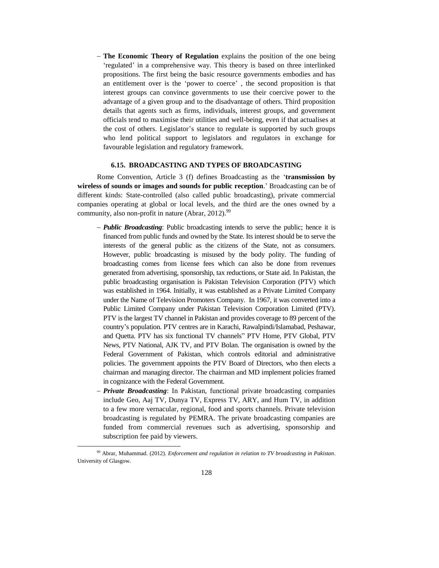**The Economic Theory of Regulation** explains the position of the one being 'regulated' in a comprehensive way. This theory is based on three interlinked propositions. The first being the basic resource governments embodies and has an entitlement over is the 'power to coerce' , the second proposition is that interest groups can convince governments to use their coercive power to the advantage of a given group and to the disadvantage of others. Third proposition details that agents such as firms, individuals, interest groups, and government officials tend to maximise their utilities and well-being, even if that actualises at the cost of others. Legislator's stance to regulate is supported by such groups who lend political support to legislators and regulators in exchange for favourable legislation and regulatory framework.

## **6.15. BROADCASTING AND TYPES OF BROADCASTING**

Rome Convention, Article 3 (f) defines Broadcasting as the '**transmission by wireless of sounds or images and sounds for public reception**.' Broadcasting can be of different kinds: State-controlled (also called public broadcasting), private commercial companies operating at global or local levels, and the third are the ones owned by a community, also non-profit in nature (Abrar,  $2012$ ).<sup>99</sup>

- *Public Broadcasting*: Public broadcasting intends to serve the public; hence it is financed from public funds and owned by the State. Its interest should be to serve the interests of the general public as the citizens of the State, not as consumers. However, public broadcasting is misused by the body polity. The funding of broadcasting comes from license fees which can also be done from revenues generated from advertising, sponsorship, tax reductions, or State aid. In Pakistan, the public broadcasting organisation is Pakistan Television Corporation (PTV) which was established in 1964. Initially, it was established as a Private Limited Company under the Name of Television Promoters Company. In 1967, it was converted into a Public Limited Company under Pakistan Television Corporation Limited (PTV). PTV is the largest TV channel in Pakistan and provides coverage to 89 percent of the country's population. PTV centres are in Karachi, Rawalpindi/Islamabad, Peshawar, and Quetta. PTV has six functional TV channels" PTV Home, PTV Global, PTV News, PTV National, AJK TV, and PTV Bolan. The organisation is owned by the Federal Government of Pakistan, which controls editorial and administrative policies. The government appoints the PTV Board of Directors, who then elects a chairman and managing director. The chairman and MD implement policies framed in cognizance with the Federal Government.
- *Private Broadcasting*: In Pakistan, functional private broadcasting companies include Geo, Aaj TV, Dunya TV, Express TV, ARY, and Hum TV, in addition to a few more vernacular, regional, food and sports channels. Private television broadcasting is regulated by PEMRA. The private broadcasting companies are funded from commercial revenues such as advertising, sponsorship and subscription fee paid by viewers.

 $\overline{a}$ 

<sup>99</sup> Abrar, Muhammad. (2012). *Enforcement and regulation in relation to TV broadcasting in Pakistan*. University of Glasgow.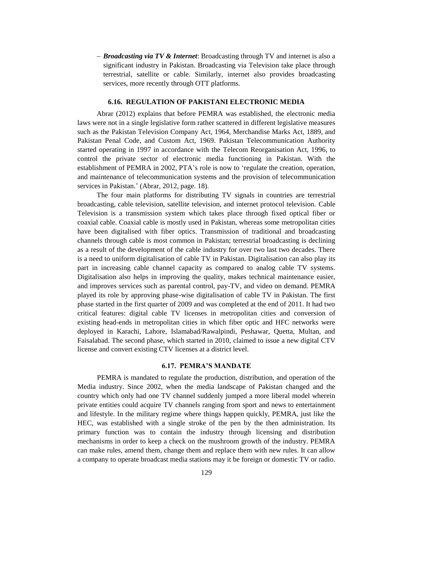*Broadcasting via TV & Internet*: Broadcasting through TV and internet is also a significant industry in Pakistan. Broadcasting via Television take place through terrestrial, satellite or cable. Similarly, internet also provides broadcasting services, more recently through OTT platforms.

## **6.16. REGULATION OF PAKISTANI ELECTRONIC MEDIA**

Abrar (2012) explains that before PEMRA was established, the electronic media laws were not in a single legislative form rather scattered in different legislative measures such as the Pakistan Television Company Act, 1964, Merchandise Marks Act, 1889, and Pakistan Penal Code, and Custom Act, 1969. Pakistan Telecommunication Authority started operating in 1997 in accordance with the Telecom Reorganisation Act, 1996, to control the private sector of electronic media functioning in Pakistan. With the establishment of PEMRA in 2002, PTA's role is now to 'regulate the creation, operation, and maintenance of telecommunication systems and the provision of telecommunication services in Pakistan.' (Abrar, 2012, page. 18).

The four main platforms for distributing TV signals in countries are terrestrial broadcasting, cable television, satellite television, and internet protocol television. Cable Television is a transmission system which takes place through fixed optical fiber or coaxial cable. Coaxial cable is mostly used in Pakistan, whereas some metropolitan cities have been digitalised with fiber optics. Transmission of traditional and broadcasting channels through cable is most common in Pakistan; terrestrial broadcasting is declining as a result of the development of the cable industry for over two last two decades. There is a need to uniform digitalisation of cable TV in Pakistan. Digitalisation can also play its part in increasing cable channel capacity as compared to analog cable TV systems. Digitalisation also helps in improving the quality, makes technical maintenance easier, and improves services such as parental control, pay-TV, and video on demand. PEMRA played its role by approving phase-wise digitalisation of cable TV in Pakistan. The first phase started in the first quarter of 2009 and was completed at the end of 2011. It had two critical features: digital cable TV licenses in metropolitan cities and conversion of existing head-ends in metropolitan cities in which fiber optic and HFC networks were deployed in Karachi, Lahore, Islamabad/Rawalpindi, Peshawar, Quetta, Multan, and Faisalabad. The second phase, which started in 2010, claimed to issue a new digital CTV license and convert existing CTV licenses at a district level.

## **6.17. PEMRA'S MANDATE**

PEMRA is mandated to regulate the production, distribution, and operation of the Media industry. Since 2002, when the media landscape of Pakistan changed and the country which only had one TV channel suddenly jumped a more liberal model wherein private entities could acquire TV channels ranging from sport and news to entertainment and lifestyle. In the military regime where things happen quickly, PEMRA, just like the HEC, was established with a single stroke of the pen by the then administration. Its primary function was to contain the industry through licensing and distribution mechanisms in order to keep a check on the mushroom growth of the industry. PEMRA can make rules, amend them, change them and replace them with new rules. It can allow a company to operate broadcast media stations may it be foreign or domestic TV or radio.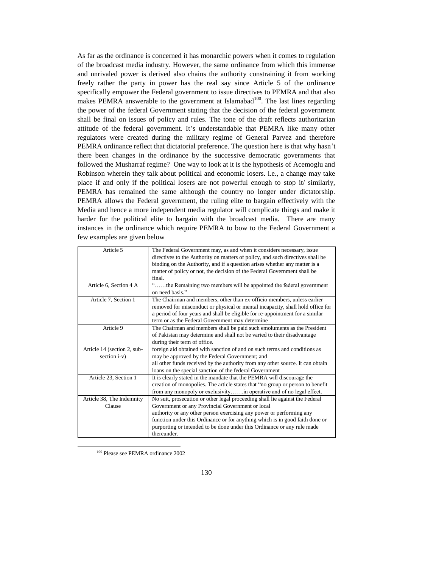As far as the ordinance is concerned it has monarchic powers when it comes to regulation of the broadcast media industry. However, the same ordinance from which this immense and unrivaled power is derived also chains the authority constraining it from working freely rather the party in power has the real say since Article 5 of the ordinance specifically empower the Federal government to issue directives to PEMRA and that also makes PEMRA answerable to the government at Islamabad $100$ . The last lines regarding the power of the federal Government stating that the decision of the federal government shall be final on issues of policy and rules. The tone of the draft reflects authoritarian attitude of the federal government. It's understandable that PEMRA like many other regulators were created during the military regime of General Parvez and therefore PEMRA ordinance reflect that dictatorial preference. The question here is that why hasn't there been changes in the ordinance by the successive democratic governments that followed the Musharraf regime? One way to look at it is the hypothesis of Acemoglu and Robinson wherein they talk about political and economic losers. i.e., a change may take place if and only if the political losers are not powerful enough to stop it/ similarly, PEMRA has remained the same although the country no longer under dictatorship. PEMRA allows the Federal government, the ruling elite to bargain effectively with the Media and hence a more independent media regulator will complicate things and make it harder for the political elite to bargain with the broadcast media. There are many instances in the ordinance which require PEMRA to bow to the Federal Government a few examples are given below

| Article 5                   | The Federal Government may, as and when it considers necessary, issue<br>directives to the Authority on matters of policy, and such directives shall be |
|-----------------------------|---------------------------------------------------------------------------------------------------------------------------------------------------------|
|                             |                                                                                                                                                         |
|                             | binding on the Authority, and if a question arises whether any matter is a                                                                              |
|                             | matter of policy or not, the decision of the Federal Government shall be<br>final.                                                                      |
|                             |                                                                                                                                                         |
| Article 6, Section 4 A      | the Remaining two members will be appointed the federal government<br>on need hasis"                                                                    |
| Article 7, Section 1        | The Chairman and members, other than ex-officio members, unless earlier                                                                                 |
|                             | removed for misconduct or physical or mental incapacity, shall hold office for                                                                          |
|                             | a period of four years and shall be eligible for re-appointment for a similar                                                                           |
|                             | term or as the Federal Government may determine                                                                                                         |
| Article 9                   | The Chairman and members shall be paid such emoluments as the President                                                                                 |
|                             | of Pakistan may determine and shall not be varied to their disadvantage                                                                                 |
|                             | during their term of office.                                                                                                                            |
| Article 14 (section 2, sub- | foreign aid obtained with sanction of and on such terms and conditions as                                                                               |
| section i-v)                | may be approved by the Federal Government; and                                                                                                          |
|                             | all other funds received by the authority from any other source. It can obtain                                                                          |
|                             | loans on the special sanction of the federal Government                                                                                                 |
| Article 23, Section 1       | It is clearly stated in the mandate that the PEMRA will discourage the                                                                                  |
|                             | creation of monopolies. The article states that "no group or person to benefit                                                                          |
|                             | from any monopoly or exclusivityin operative and of no legal effect.                                                                                    |
| Article 38, The Indemnity   | No suit, prosecution or other legal proceeding shall lie against the Federal                                                                            |
| Clause                      | Government or any Provincial Government or local                                                                                                        |
|                             | authority or any other person exercising any power or performing any                                                                                    |
|                             | function under this Ordinance or for anything which is in good faith done or                                                                            |
|                             | purporting or intended to be done under this Ordinance or any rule made                                                                                 |
|                             | thereunder.                                                                                                                                             |

<sup>100</sup> Please see PEMRA ordinance 2002

 $\overline{a}$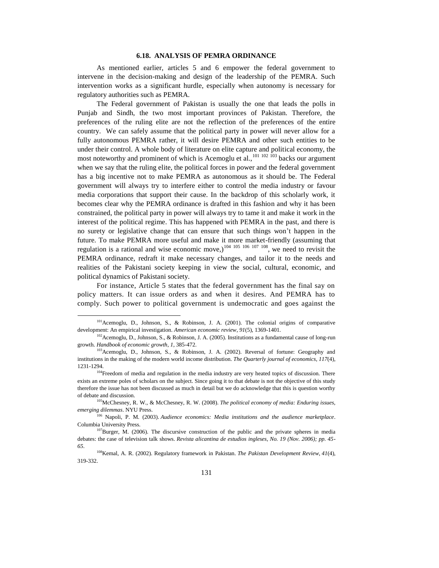## **6.18. ANALYSIS OF PEMRA ORDINANCE**

As mentioned earlier, articles 5 and 6 empower the federal government to intervene in the decision-making and design of the leadership of the PEMRA. Such intervention works as a significant hurdle, especially when autonomy is necessary for regulatory authorities such as PEMRA.

The Federal government of Pakistan is usually the one that leads the polls in Punjab and Sindh, the two most important provinces of Pakistan. Therefore, the preferences of the ruling elite are not the reflection of the preferences of the entire country. We can safely assume that the political party in power will never allow for a fully autonomous PEMRA rather, it will desire PEMRA and other such entities to be under their control. A whole body of literature on elite capture and political economy, the most noteworthy and prominent of which is Acemoglu et al.,  $^{101 \tcdot 102 \tcdot 103}$  backs our argument when we say that the ruling elite, the political forces in power and the federal government has a big incentive not to make PEMRA as autonomous as it should be. The Federal government will always try to interfere either to control the media industry or favour media corporations that support their cause. In the backdrop of this scholarly work, it becomes clear why the PEMRA ordinance is drafted in this fashion and why it has been constrained, the political party in power will always try to tame it and make it work in the interest of the political regime. This has happened with PEMRA in the past, and there is no surety or legislative change that can ensure that such things won't happen in the future. To make PEMRA more useful and make it more market-friendly (assuming that regulation is a rational and wise economic move,)<sup>104 105 106</sup> 107 108, we need to revisit the PEMRA ordinance, redraft it make necessary changes, and tailor it to the needs and realities of the Pakistani society keeping in view the social, cultural, economic, and political dynamics of Pakistani society.

For instance, Article 5 states that the federal government has the final say on policy matters. It can issue orders as and when it desires. And PEMRA has to comply. Such power to political government is undemocratic and goes against the

 $\overline{\phantom{a}}$ 

<sup>&</sup>lt;sup>101</sup> Acemoglu, D., Johnson, S., & Robinson, J. A. (2001). The colonial origins of comparative development: An empirical investigation. *American economic review*, *91*(5), 1369-1401.

<sup>&</sup>lt;sup>102</sup> Acemoglu, D., Johnson, S., & Robinson, J. A. (2005). Institutions as a fundamental cause of long-run growth. *Handbook of economic growth*, *1*, 385-472.

<sup>103</sup>Acemoglu, D., Johnson, S., & Robinson, J. A. (2002). Reversal of fortune: Geography and institutions in the making of the modern world income distribution. *The Quarterly journal of economics*, *117*(4), 1231-1294.

<sup>&</sup>lt;sup>104</sup>Freedom of media and regulation in the media industry are very heated topics of discussion. There exists an extreme poles of scholars on the subject. Since going it to that debate is not the objective of this study therefore the issue has not been discussed as much in detail but we do acknowledge that this is question worthy of debate and discussion.

<sup>105</sup>McChesney, R. W., & McChesney, R. W. (2008). *The political economy of media: Enduring issues, emerging dilemmas*. NYU Press.

<sup>106</sup> Napoli, P. M. (2003). *Audience economics: Media institutions and the audience marketplace*. Columbia University Press.

 $107$ Burger, M. (2006). The discursive construction of the public and the private spheres in media debates: the case of television talk shows. *Revista alicantina de estudios ingleses, No. 19 (Nov. 2006); pp. 45- 65*.

<sup>108</sup>Kemal, A. R. (2002). Regulatory framework in Pakistan. *The Pakistan Development Review*, *41*(4), 319-332.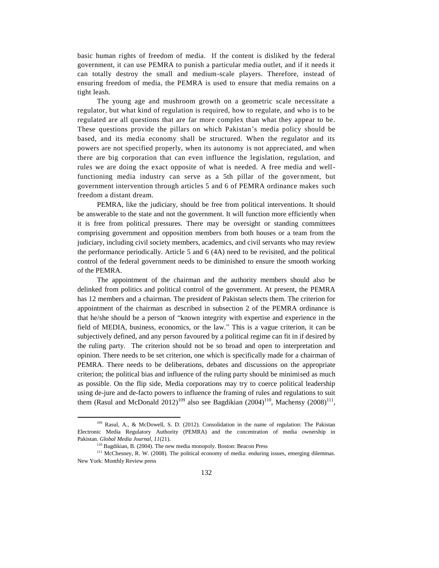basic human rights of freedom of media. If the content is disliked by the federal government, it can use PEMRA to punish a particular media outlet, and if it needs it can totally destroy the small and medium-scale players. Therefore, instead of ensuring freedom of media, the PEMRA is used to ensure that media remains on a tight leash.

The young age and mushroom growth on a geometric scale necessitate a regulator, but what kind of regulation is required, how to regulate, and who is to be regulated are all questions that are far more complex than what they appear to be. These questions provide the pillars on which Pakistan's media policy should be based, and its media economy shall be structured. When the regulator and its powers are not specified properly, when its autonomy is not appreciated, and when there are big corporation that can even influence the legislation, regulation, and rules we are doing the exact opposite of what is needed. A free media and wellfunctioning media industry can serve as a 5th pillar of the government, but government intervention through articles 5 and 6 of PEMRA ordinance makes such freedom a distant dream.

PEMRA, like the judiciary, should be free from political interventions. It should be answerable to the state and not the government. It will function more efficiently when it is free from political pressures. There may be oversight or standing committees comprising government and opposition members from both houses or a team from the judiciary, including civil society members, academics, and civil servants who may review the performance periodically. Article 5 and 6 (4A) need to be revisited, and the political control of the federal government needs to be diminished to ensure the smooth working of the PEMRA.

The appointment of the chairman and the authority members should also be delinked from politics and political control of the government. At present, the PEMRA has 12 members and a chairman. The president of Pakistan selects them. The criterion for appointment of the chairman as described in subsection 2 of the PEMRA ordinance is that he/she should be a person of "known integrity with expertise and experience in the field of MEDIA, business, economics, or the law." This is a vague criterion, it can be subjectively defined, and any person favoured by a political regime can fit in if desired by the ruling party. The criterion should not be so broad and open to interpretation and opinion. There needs to be set criterion, one which is specifically made for a chairman of PEMRA. There needs to be deliberations, debates and discussions on the appropriate criterion; the political bias and influence of the ruling party should be minimised as much as possible. On the flip side, Media corporations may try to coerce political leadership using de-jure and de-facto powers to influence the framing of rules and regulations to suit them (Rasul and McDonald 2012)<sup>109</sup> also see Bagdikian (2004)<sup>110</sup>, Machensy (2008)<sup>111</sup>,

<sup>109</sup> Rasul, A., & McDowell, S. D. (2012). Consolidation in the name of regulation: The Pakistan Electronic Media Regulatory Authority (PEMRA) and the concentration of media ownership in Pakistan. *Global Media Journal*, *11*(21).

<sup>110</sup> Bagdikian, B. (2004). The new media monopoly. Boston: Beacon Press

<sup>&</sup>lt;sup>111</sup> McChesney, R. W. (2008). The political economy of media: enduring issues, emerging dilemmas. New York: Monthly Review press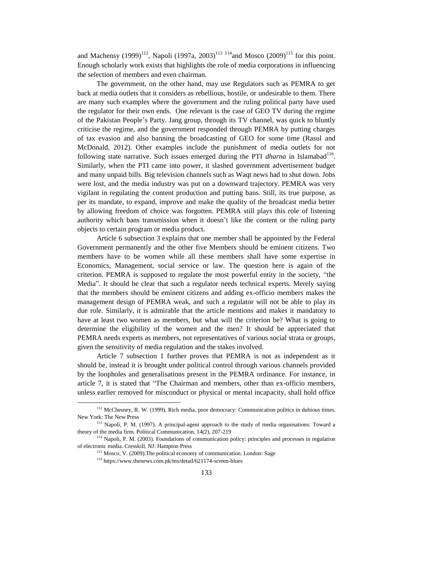and Machensy (1999)<sup>112</sup>, Napoli (1997a, 2003)<sup>113 114</sup> and Mosco (2009)<sup>115</sup> for this point. Enough scholarly work exists that highlights the role of media corporations in influencing the selection of members and even chairman.

The government, on the other hand, may use Regulators such as PEMRA to get back at media outlets that it considers as rebellious, hostile, or undesirable to them. There are many such examples where the government and the ruling political party have used the regulator for their own ends. One relevant is the case of GEO TV during the regime of the Pakistan People's Party. Jang group, through its TV channel, was quick to bluntly criticise the regime, and the government responded through PEMRA by putting charges of tax evasion and also banning the broadcasting of GEO for some time (Rasul and McDonald, 2012). Other examples include the punishment of media outlets for not following state narrative. Such issues emerged during the PTI *dharna* in Islamabad<sup>116</sup>. Similarly, when the PTI came into power, it slashed government advertisement budget and many unpaid bills. Big television channels such as Waqt news had to shut down. Jobs were lost, and the media industry was put on a downward trajectory. PEMRA was very vigilant in regulating the content production and putting bans. Still, its true purpose, as per its mandate, to expand, improve and make the quality of the broadcast media better by allowing freedom of choice was forgotten. PEMRA still plays this role of listening authority which bans transmission when it doesn't like the content or the ruling party objects to certain program or media product.

Article 6 subsection 3 explains that one member shall be appointed by the Federal Government permanently and the other five Members should be eminent citizens. Two members have to be women while all these members shall have some expertise in Economics, Management, social service or law. The question here is again of the criterion. PEMRA is supposed to regulate the most powerful entity in the society, "the Media". It should be clear that such a regulator needs technical experts. Merely saying that the members should be eminent citizens and adding ex-officio members makes the management design of PEMRA weak, and such a regulator will not be able to play its due role. Similarly, it is admirable that the article mentions and makes it mandatory to have at least two women as members, but what will the criterion be? What is going to determine the eligibility of the women and the men? It should be appreciated that PEMRA needs experts as members, not representatives of various social strata or groups, given the sensitivity of media regulation and the stakes involved.

Article 7 subsection 1 further proves that PEMRA is not as independent as it should be, instead it is brought under political control through various channels provided by the loopholes and generalisations present in the PEMRA ordinance. For instance, in article 7, it is stated that "The Chairman and members, other than ex-officio members, unless earlier removed for misconduct or physical or mental incapacity, shall hold office

 $\overline{a}$ 

<sup>&</sup>lt;sup>112</sup> McChesney, R. W. (1999). Rich media, poor democracy: Communication politics in dubious times. New York: The New Press

<sup>113</sup> Napoli, P. M. (1997). A principal-agent approach to the study of media organisations: Toward a theory of the media firm. Political Communication, 14(2), 207-219

<sup>&</sup>lt;sup>114</sup> Napoli, P. M. (2003). Foundations of communication policy: principles and processes in regulation of electronic media. Cresskill, NJ: Hampton Press

<sup>115</sup> Mosco, V. (2009).The political economy of communication. London: Sage

<sup>116</sup> https://www.thenews.com.pk/tns/detail/621174-screen-blues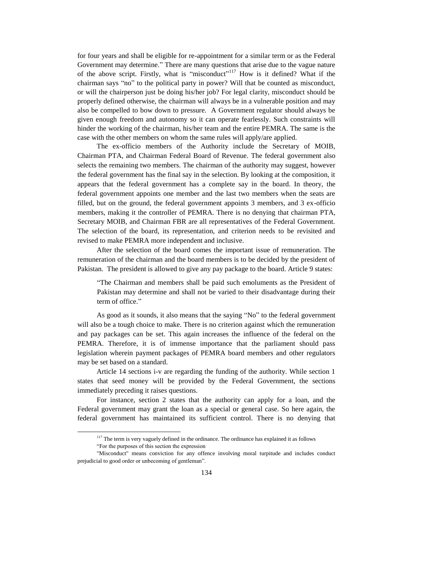for four years and shall be eligible for re-appointment for a similar term or as the Federal Government may determine." There are many questions that arise due to the vague nature of the above script. Firstly, what is "misconduct"<sup>117</sup> How is it defined? What if the chairman says "no" to the political party in power? Will that be counted as misconduct, or will the chairperson just be doing his/her job? For legal clarity, misconduct should be properly defined otherwise, the chairman will always be in a vulnerable position and may also be compelled to bow down to pressure. A Government regulator should always be given enough freedom and autonomy so it can operate fearlessly. Such constraints will hinder the working of the chairman, his/her team and the entire PEMRA. The same is the case with the other members on whom the same rules will apply/are applied.

The ex-officio members of the Authority include the Secretary of MOIB, Chairman PTA, and Chairman Federal Board of Revenue. The federal government also selects the remaining two members. The chairman of the authority may suggest, however the federal government has the final say in the selection. By looking at the composition, it appears that the federal government has a complete say in the board. In theory, the federal government appoints one member and the last two members when the seats are filled, but on the ground, the federal government appoints 3 members, and 3 ex-officio members, making it the controller of PEMRA. There is no denying that chairman PTA, Secretary MOIB, and Chairman FBR are all representatives of the Federal Government. The selection of the board, its representation, and criterion needs to be revisited and revised to make PEMRA more independent and inclusive.

After the selection of the board comes the important issue of remuneration. The remuneration of the chairman and the board members is to be decided by the president of Pakistan. The president is allowed to give any pay package to the board. Article 9 states:

"The Chairman and members shall be paid such emoluments as the President of Pakistan may determine and shall not be varied to their disadvantage during their term of office."

As good as it sounds, it also means that the saying "No" to the federal government will also be a tough choice to make. There is no criterion against which the remuneration and pay packages can be set. This again increases the influence of the federal on the PEMRA. Therefore, it is of immense importance that the parliament should pass legislation wherein payment packages of PEMRA board members and other regulators may be set based on a standard.

Article 14 sections i-v are regarding the funding of the authority. While section 1 states that seed money will be provided by the Federal Government, the sections immediately preceding it raises questions.

For instance, section 2 states that the authority can apply for a loan, and the Federal government may grant the loan as a special or general case. So here again, the federal government has maintained its sufficient control. There is no denying that

<sup>&</sup>lt;sup>117</sup> The term is very vaguely defined in the ordinance. The ordinance has explained it as follows

<sup>&</sup>quot;For the purposes of this section the expression

<sup>&</sup>quot;Misconduct" means conviction for any offence involving moral turpitude and includes conduct prejudicial to good order or unbecoming of gentleman".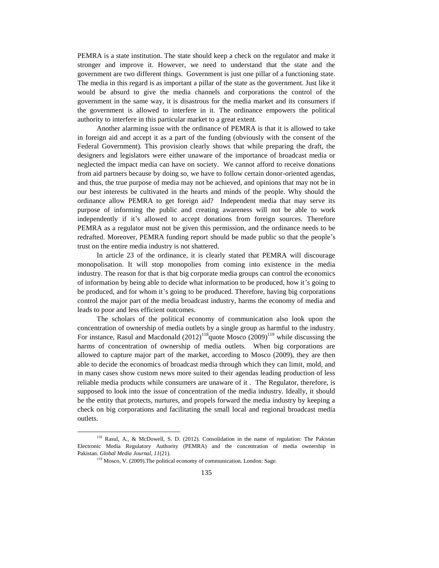PEMRA is a state institution. The state should keep a check on the regulator and make it stronger and improve it. However, we need to understand that the state and the government are two different things. Government is just one pillar of a functioning state. The media in this regard is as important a pillar of the state as the government. Just like it would be absurd to give the media channels and corporations the control of the government in the same way, it is disastrous for the media market and its consumers if the government is allowed to interfere in it. The ordinance empowers the political authority to interfere in this particular market to a great extent.

Another alarming issue with the ordinance of PEMRA is that it is allowed to take in foreign aid and accept it as a part of the funding (obviously with the consent of the Federal Government). This provision clearly shows that while preparing the draft, the designers and legislators were either unaware of the importance of broadcast media or neglected the impact media can have on society. We cannot afford to receive donations from aid partners because by doing so, we have to follow certain donor-oriented agendas, and thus, the true purpose of media may not be achieved, and opinions that may not be in our best interests be cultivated in the hearts and minds of the people. Why should the ordinance allow PEMRA to get foreign aid? Independent media that may serve its purpose of informing the public and creating awareness will not be able to work independently if it's allowed to accept donations from foreign sources. Therefore PEMRA as a regulator must not be given this permission, and the ordinance needs to be redrafted. Moreover, PEMRA funding report should be made public so that the people's trust on the entire media industry is not shattered.

In article 23 of the ordinance, it is clearly stated that PEMRA will discourage monopolisation. It will stop monopolies from coming into existence in the media industry. The reason for that is that big corporate media groups can control the economics of information by being able to decide what information to be produced, how it's going to be produced, and for whom it's going to be produced. Therefore, having big corporations control the major part of the media broadcast industry, harms the economy of media and leads to poor and less efficient outcomes.

The scholars of the political economy of communication also look upon the concentration of ownership of media outlets by a single group as harmful to the industry. For instance, Rasul and Macdonald  $(2012)^{118}$ quote Mosco  $(2009)^{119}$  while discussing the harms of concentration of ownership of media outlets. When big corporations are allowed to capture major part of the market, according to Mosco (2009), they are then able to decide the economics of broadcast media through which they can limit, mold, and in many cases show custom news more suited to their agendas leading production of less reliable media products while consumers are unaware of it . The Regulator, therefore, is supposed to look into the issue of concentration of the media industry. Ideally, it should be the entity that protects, nurtures, and propels forward the media industry by keeping a check on big corporations and facilitating the small local and regional broadcast media outlets.

<sup>118</sup> Rasul, A., & McDowell, S. D. (2012). Consolidation in the name of regulation: The Pakistan Electronic Media Regulatory Authority (PEMRA) and the concentration of media ownership in Pakistan. *Global Media Journal*, *11*(21).

<sup>&</sup>lt;sup>119</sup> Mosco, V. (2009). The political economy of communication. London: Sage.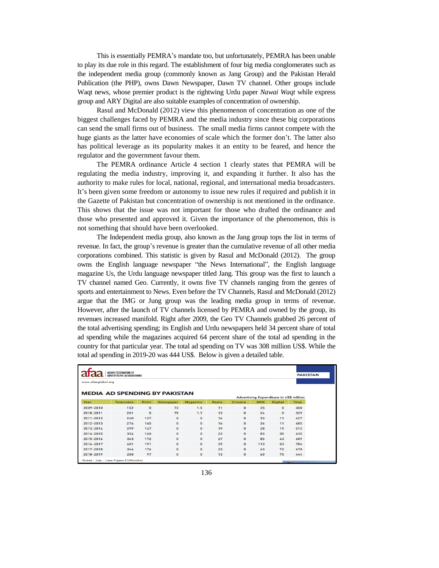This is essentially PEMRA's mandate too, but unfortunately, PEMRA has been unable to play its due role in this regard. The establishment of four big media conglomerates such as the independent media group (commonly known as Jang Group) and the Pakistan Herald Publication (the PHP), owns Dawn Newspaper, Dawn TV channel. Other groups include Waqt news, whose premier product is the rightwing Urdu paper *Nawai Waqt* while express group and ARY Digital are also suitable examples of concentration of ownership.

Rasul and McDonald (2012) view this phenomenon of concentration as one of the biggest challenges faced by PEMRA and the media industry since these big corporations can send the small firms out of business. The small media firms cannot compete with the huge giants as the latter have economies of scale which the former don't. The latter also has political leverage as its popularity makes it an entity to be feared, and hence the regulator and the government favour them.

The PEMRA ordinance Article 4 section 1 clearly states that PEMRA will be regulating the media industry, improving it, and expanding it further. It also has the authority to make rules for local, national, regional, and international media broadcasters. It's been given some freedom or autonomy to issue new rules if required and publish it in the Gazette of Pakistan but concentration of ownership is not mentioned in the ordinance. This shows that the issue was not important for those who drafted the ordinance and those who presented and approved it. Given the importance of the phenomenon, this is not something that should have been overlooked.

The Independent media group, also known as the Jang group tops the list in terms of revenue. In fact, the group's revenue is greater than the cumulative revenue of all other media corporations combined. This statistic is given by Rasul and McDonald (2012). The group owns the English language newspaper "the News International", the English language magazine Us, the Urdu language newspaper titled Jang. This group was the first to launch a TV channel named Geo. Currently, it owns five TV channels ranging from the genres of sports and entertainment to News. Even before the TV Channels, Rasul and McDonald (2012) argue that the IMG or Jung group was the leading media group in terms of revenue. However, after the launch of TV channels licensed by PEMRA and owned by the group, its revenues increased manifold. Right after 2009, the Geo TV Channels grabbed 26 percent of the total advertising spending; its English and Urdu newspapers held 34 percent share of total ad spending while the magazines acquired 64 percent share of the total ad spending in the country for that particular year. The total ad spending on TV was 308 million US\$. While the total ad spending in 2019-20 was 444 US\$. Below is given a detailed table.

|                                      | <b>ASIAN FEDERATION OF</b><br><b>ADVERTISING ASSOCIATIONS</b> |       |           |                 |              |               |            |                                                | <b>PAKISTAN</b> |
|--------------------------------------|---------------------------------------------------------------|-------|-----------|-----------------|--------------|---------------|------------|------------------------------------------------|-----------------|
| www.afaaglobal.org                   |                                                               |       |           |                 |              |               |            |                                                |                 |
| <b>MEDIA AD SPENDING BY PAKISTAN</b> |                                                               |       |           |                 |              |               |            |                                                |                 |
|                                      |                                                               |       |           |                 |              |               |            | <b>Advertising Expenditure in US\$ million</b> |                 |
| Year                                 | <b>Television</b>                                             | Print | Newspaper | <b>Magazine</b> | <b>Radio</b> | <b>Cinema</b> | <b>OOH</b> | <b>Digital</b>                                 | <b>Total</b>    |
| 2009-2010                            | 152                                                           | 0     | 72        | 1.5             | 11           | $\bf{0}$      | 25         | $\Omega$                                       | 308             |
| 2010-2011                            | 201                                                           | 0     | 75        | 1.7             | 13           | 0             | 24         | $\Omega$                                       | 329             |
| 2011-2012                            | 240                                                           | 127   | 0         | 0               | 16           | 0             | 33         | 11                                             | 427             |
| 2012-2013                            | 276                                                           | 145   | 0         | 0               | 16           | $\bf{0}$      | 36         | 11                                             | 485             |
| 2013-2014                            | 299                                                           | 147   | 0         | $\Omega$        | 19           | $\Omega$      | 28         | 19                                             | 512             |
| 2014-2015                            | 334                                                           | 160   | 0         | $\Omega$        | 23           | $\Omega$      | 83         | 35                                             | 635             |
| 2015-2016                            | 363                                                           | 172   | 0         | n               | 27           | $\mathbf{O}$  | 85         | 43                                             | 689             |
| 2016-2017                            | 401                                                           | 191   | 0         | $\bf{0}$        | 29           | $\bf{0}$      | 113        | 53                                             | 786             |
| 2017-2018                            | 344                                                           | 176   | $\Omega$  | $\Omega$        | 23           | $\Omega$      | 63         | 72                                             | 678             |
| 2018-2019                            | 200                                                           | 97    | 0         | 0               | 13           | 0             | 60         | 75                                             | 444             |
| Noted: July - June Figure (12Months) |                                                               |       |           |                 |              |               |            |                                                | <b>STATE</b>    |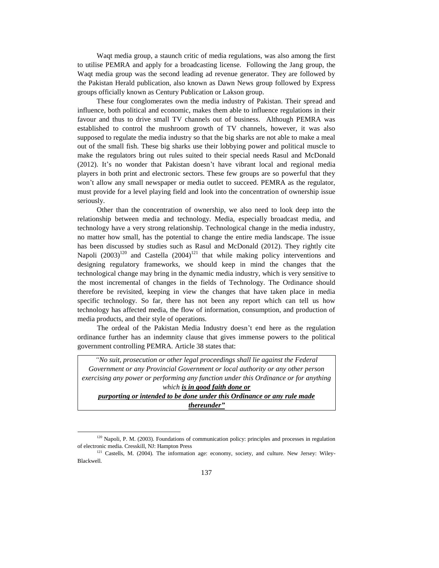Waqt media group, a staunch critic of media regulations, was also among the first to utilise PEMRA and apply for a broadcasting license. Following the Jang group, the Waqt media group was the second leading ad revenue generator. They are followed by the Pakistan Herald publication, also known as Dawn News group followed by Express groups officially known as Century Publication or Lakson group.

These four conglomerates own the media industry of Pakistan. Their spread and influence, both political and economic, makes them able to influence regulations in their favour and thus to drive small TV channels out of business. Although PEMRA was established to control the mushroom growth of TV channels, however, it was also supposed to regulate the media industry so that the big sharks are not able to make a meal out of the small fish. These big sharks use their lobbying power and political muscle to make the regulators bring out rules suited to their special needs Rasul and McDonald (2012). It's no wonder that Pakistan doesn't have vibrant local and regional media players in both print and electronic sectors. These few groups are so powerful that they won't allow any small newspaper or media outlet to succeed. PEMRA as the regulator, must provide for a level playing field and look into the concentration of ownership issue seriously.

Other than the concentration of ownership, we also need to look deep into the relationship between media and technology. Media, especially broadcast media, and technology have a very strong relationship. Technological change in the media industry, no matter how small, has the potential to change the entire media landscape. The issue has been discussed by studies such as Rasul and McDonald (2012). They rightly cite Napoli  $(2003)^{120}$  and Castella  $(2004)^{121}$  that while making policy interventions and designing regulatory frameworks, we should keep in mind the changes that the technological change may bring in the dynamic media industry, which is very sensitive to the most incremental of changes in the fields of Technology. The Ordinance should therefore be revisited, keeping in view the changes that have taken place in media specific technology. So far, there has not been any report which can tell us how technology has affected media, the flow of information, consumption, and production of media products, and their style of operations.

The ordeal of the Pakistan Media Industry doesn't end here as the regulation ordinance further has an indemnity clause that gives immense powers to the political government controlling PEMRA. Article 38 states that:

*"No suit, prosecution or other legal proceedings shall lie against the Federal Government or any Provincial Government or local authority or any other person exercising any power or performing any function under this Ordinance or for anything which is in good faith done or purporting or intended to be done under this Ordinance or any rule made thereunder"*

<sup>&</sup>lt;sup>120</sup> Napoli, P. M. (2003). Foundations of communication policy: principles and processes in regulation of electronic media. Cresskill, NJ: Hampton Press

<sup>&</sup>lt;sup>121</sup> Castells, M. (2004). The information age: economy, society, and culture. New Jersey: Wiley-Blackwell.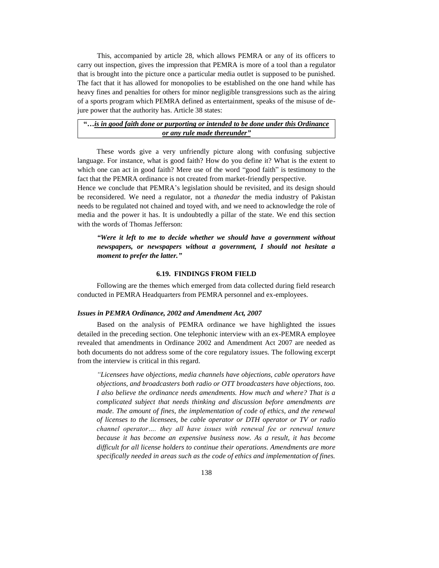This, accompanied by article 28, which allows PEMRA or any of its officers to carry out inspection, gives the impression that PEMRA is more of a tool than a regulator that is brought into the picture once a particular media outlet is supposed to be punished. The fact that it has allowed for monopolies to be established on the one hand while has heavy fines and penalties for others for minor negligible transgressions such as the airing of a sports program which PEMRA defined as entertainment, speaks of the misuse of dejure power that the authority has. Article 38 states:

# **"…***is in good faith done or purporting or intended to be done under this Ordinance or any rule made thereunder"*

These words give a very unfriendly picture along with confusing subjective language. For instance, what is good faith? How do you define it? What is the extent to which one can act in good faith? Mere use of the word "good faith" is testimony to the fact that the PEMRA ordinance is not created from market-friendly perspective.

Hence we conclude that PEMRA's legislation should be revisited, and its design should be reconsidered. We need a regulator, not a *thanedar* the media industry of Pakistan needs to be regulated not chained and toyed with, and we need to acknowledge the role of media and the power it has. It is undoubtedly a pillar of the state. We end this section with the words of Thomas Jefferson:

*"Were it left to me to decide whether we should have a government without newspapers, or newspapers without a government, I should not hesitate a moment to prefer the latter."*

### **6.19. FINDINGS FROM FIELD**

Following are the themes which emerged from data collected during field research conducted in PEMRA Headquarters from PEMRA personnel and ex-employees.

#### *Issues in PEMRA Ordinance, 2002 and Amendment Act, 2007*

Based on the analysis of PEMRA ordinance we have highlighted the issues detailed in the preceding section. One telephonic interview with an ex-PEMRA employee revealed that amendments in Ordinance 2002 and Amendment Act 2007 are needed as both documents do not address some of the core regulatory issues. The following excerpt from the interview is critical in this regard.

*"Licensees have objections, media channels have objections, cable operators have objections, and broadcasters both radio or OTT broadcasters have objections, too. I also believe the ordinance needs amendments. How much and where? That is a complicated subject that needs thinking and discussion before amendments are made. The amount of fines, the implementation of code of ethics, and the renewal of licenses to the licensees, be cable operator or DTH operator or TV or radio channel operator…. they all have issues with renewal fee or renewal tenure because it has become an expensive business now. As a result, it has become difficult for all license holders to continue their operations. Amendments are more specifically needed in areas such as the code of ethics and implementation of fines.*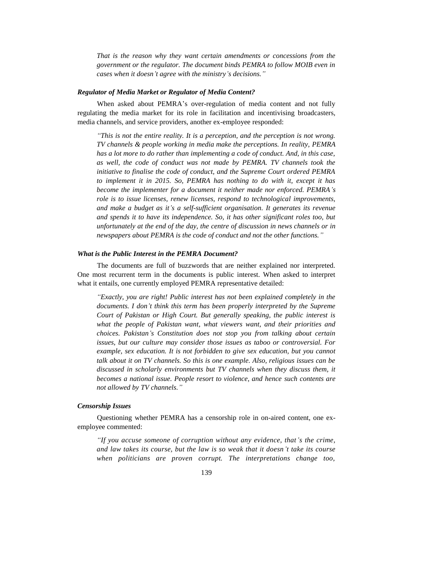*That is the reason why they want certain amendments or concessions from the government or the regulator. The document binds PEMRA to follow MOIB even in cases when it doesn't agree with the ministry's decisions."*

#### *Regulator of Media Market or Regulator of Media Content?*

When asked about PEMRA's over-regulation of media content and not fully regulating the media market for its role in facilitation and incentivising broadcasters, media channels, and service providers, another ex-employee responded:

*"This is not the entire reality. It is a perception, and the perception is not wrong. TV channels & people working in media make the perceptions. In reality, PEMRA has a lot more to do rather than implementing a code of conduct. And, in this case, as well, the code of conduct was not made by PEMRA. TV channels took the initiative to finalise the code of conduct, and the Supreme Court ordered PEMRA to implement it in 2015. So, PEMRA has nothing to do with it, except it has become the implementer for a document it neither made nor enforced. PEMRA's role is to issue licenses, renew licenses, respond to technological improvements, and make a budget as it's a self-sufficient organisation. It generates its revenue and spends it to have its independence. So, it has other significant roles too, but unfortunately at the end of the day, the centre of discussion in news channels or in newspapers about PEMRA is the code of conduct and not the other functions."*

### *What is the Public Interest in the PEMRA Document?*

The documents are full of buzzwords that are neither explained nor interpreted. One most recurrent term in the documents is public interest. When asked to interpret what it entails, one currently employed PEMRA representative detailed:

*"Exactly, you are right! Public interest has not been explained completely in the documents. I don't think this term has been properly interpreted by the Supreme Court of Pakistan or High Court. But generally speaking, the public interest is what the people of Pakistan want, what viewers want, and their priorities and choices. Pakistan's Constitution does not stop you from talking about certain issues, but our culture may consider those issues as taboo or controversial. For example, sex education. It is not forbidden to give sex education, but you cannot talk about it on TV channels. So this is one example. Also, religious issues can be discussed in scholarly environments but TV channels when they discuss them, it becomes a national issue. People resort to violence, and hence such contents are not allowed by TV channels."*

## *Censorship Issues*

Questioning whether PEMRA has a censorship role in on-aired content, one exemployee commented:

*"If you accuse someone of corruption without any evidence, that's the crime, and law takes its course, but the law is so weak that it doesn't take its course when politicians are proven corrupt. The interpretations change too,*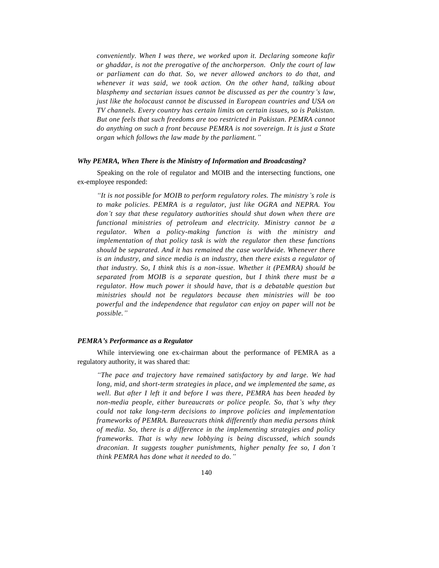*conveniently. When I was there, we worked upon it. Declaring someone kafir or ghaddar, is not the prerogative of the anchorperson. Only the court of law or parliament can do that. So, we never allowed anchors to do that, and whenever it was said, we took action. On the other hand, talking about blasphemy and sectarian issues cannot be discussed as per the country's law, just like the holocaust cannot be discussed in European countries and USA on TV channels. Every country has certain limits on certain issues, so is Pakistan. But one feels that such freedoms are too restricted in Pakistan. PEMRA cannot do anything on such a front because PEMRA is not sovereign. It is just a State organ which follows the law made by the parliament."*

## *Why PEMRA, When There is the Ministry of Information and Broadcasting?*

Speaking on the role of regulator and MOIB and the intersecting functions, one ex-employee responded:

*"It is not possible for MOIB to perform regulatory roles. The ministry's role is to make policies. PEMRA is a regulator, just like OGRA and NEPRA. You don't say that these regulatory authorities should shut down when there are functional ministries of petroleum and electricity. Ministry cannot be a regulator. When a policy-making function is with the ministry and implementation of that policy task is with the regulator then these functions should be separated. And it has remained the case worldwide. Whenever there is an industry, and since media is an industry, then there exists a regulator of that industry. So, I think this is a non-issue. Whether it (PEMRA) should be separated from MOIB is a separate question, but I think there must be a regulator. How much power it should have, that is a debatable question but ministries should not be regulators because then ministries will be too powerful and the independence that regulator can enjoy on paper will not be possible."*

### *PEMRA's Performance as a Regulator*

While interviewing one ex-chairman about the performance of PEMRA as a regulatory authority, it was shared that:

*"The pace and trajectory have remained satisfactory by and large. We had long, mid, and short-term strategies in place, and we implemented the same, as well. But after I left it and before I was there, PEMRA has been headed by non-media people, either bureaucrats or police people. So, that's why they could not take long-term decisions to improve policies and implementation frameworks of PEMRA. Bureaucrats think differently than media persons think of media. So, there is a difference in the implementing strategies and policy frameworks. That is why new lobbying is being discussed, which sounds draconian. It suggests tougher punishments, higher penalty fee so, I don't think PEMRA has done what it needed to do."*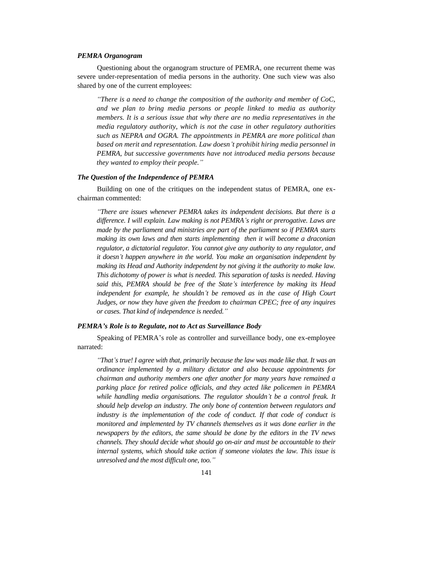## *PEMRA Organogram*

Questioning about the organogram structure of PEMRA, one recurrent theme was severe under-representation of media persons in the authority. One such view was also shared by one of the current employees:

*"There is a need to change the composition of the authority and member of CoC, and we plan to bring media persons or people linked to media as authority members. It is a serious issue that why there are no media representatives in the media regulatory authority, which is not the case in other regulatory authorities such as NEPRA and OGRA. The appointments in PEMRA are more political than based on merit and representation. Law doesn't prohibit hiring media personnel in PEMRA, but successive governments have not introduced media persons because they wanted to employ their people."*

### *The Question of the Independence of PEMRA*

Building on one of the critiques on the independent status of PEMRA, one exchairman commented:

*"There are issues whenever PEMRA takes its independent decisions. But there is a difference. I will explain. Law making is not PEMRA's right or prerogative. Laws are made by the parliament and ministries are part of the parliament so if PEMRA starts making its own laws and then starts implementing then it will become a draconian regulator, a dictatorial regulator. You cannot give any authority to any regulator, and it doesn't happen anywhere in the world. You make an organisation independent by making its Head and Authority independent by not giving it the authority to make law. This dichotomy of power is what is needed. This separation of tasks is needed. Having said this, PEMRA should be free of the State's interference by making its Head independent for example, he shouldn't be removed as in the case of High Court Judges, or now they have given the freedom to chairman CPEC; free of any inquires or cases. That kind of independence is needed."*

## *PEMRA's Role is to Regulate, not to Act as Surveillance Body*

Speaking of PEMRA's role as controller and surveillance body, one ex-employee narrated:

*"That's true! I agree with that, primarily because the law was made like that. It was an ordinance implemented by a military dictator and also because appointments for chairman and authority members one after another for many years have remained a parking place for retired police officials, and they acted like policemen in PEMRA while handling media organisations. The regulator shouldn't be a control freak. It should help develop an industry. The only bone of contention between regulators and*  industry is the implementation of the code of conduct. If that code of conduct is *monitored and implemented by TV channels themselves as it was done earlier in the newspapers by the editors, the same should be done by the editors in the TV news channels. They should decide what should go on-air and must be accountable to their internal systems, which should take action if someone violates the law. This issue is unresolved and the most difficult one, too."*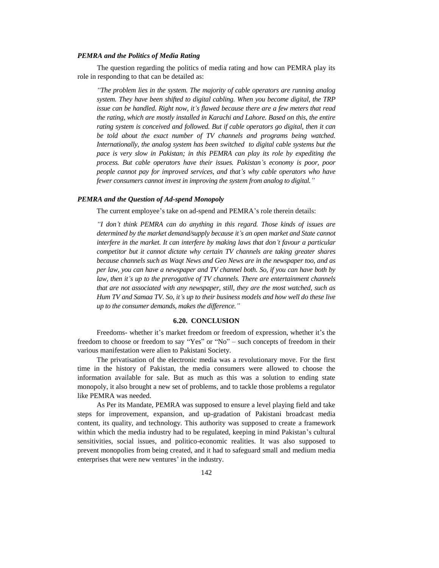### *PEMRA and the Politics of Media Rating*

The question regarding the politics of media rating and how can PEMRA play its role in responding to that can be detailed as:

*"The problem lies in the system. The majority of cable operators are running analog system. They have been shifted to digital cabling. When you become digital, the TRP issue can be handled. Right now, it's flawed because there are a few meters that read the rating, which are mostly installed in Karachi and Lahore. Based on this, the entire rating system is conceived and followed. But if cable operators go digital, then it can be told about the exact number of TV channels and programs being watched. Internationally, the analog system has been switched to digital cable systems but the pace is very slow in Pakistan; in this PEMRA can play its role by expediting the process. But cable operators have their issues. Pakistan's economy is poor, poor people cannot pay for improved services, and that's why cable operators who have fewer consumers cannot invest in improving the system from analog to digital."*

## *PEMRA and the Question of Ad-spend Monopoly*

The current employee's take on ad-spend and PEMRA's role therein details:

*"I don't think PEMRA can do anything in this regard. Those kinds of issues are determined by the market demand/supply because it's an open market and State cannot interfere in the market. It can interfere by making laws that don't favour a particular competitor but it cannot dictate why certain TV channels are taking greater shares because channels such as Waqt News and Geo News are in the newspaper too, and as per law, you can have a newspaper and TV channel both. So, if you can have both by law, then it's up to the prerogative of TV channels. There are entertainment channels that are not associated with any newspaper, still, they are the most watched, such as Hum TV and Samaa TV. So, it's up to their business models and how well do these live up to the consumer demands, makes the difference."*

### **6.20. CONCLUSION**

Freedoms- whether it's market freedom or freedom of expression, whether it's the freedom to choose or freedom to say "Yes" or "No" – such concepts of freedom in their various manifestation were alien to Pakistani Society.

The privatisation of the electronic media was a revolutionary move. For the first time in the history of Pakistan, the media consumers were allowed to choose the information available for sale. But as much as this was a solution to ending state monopoly, it also brought a new set of problems, and to tackle those problems a regulator like PEMRA was needed.

As Per its Mandate, PEMRA was supposed to ensure a level playing field and take steps for improvement, expansion, and up-gradation of Pakistani broadcast media content, its quality, and technology. This authority was supposed to create a framework within which the media industry had to be regulated, keeping in mind Pakistan's cultural sensitivities, social issues, and politico-economic realities. It was also supposed to prevent monopolies from being created, and it had to safeguard small and medium media enterprises that were new ventures' in the industry.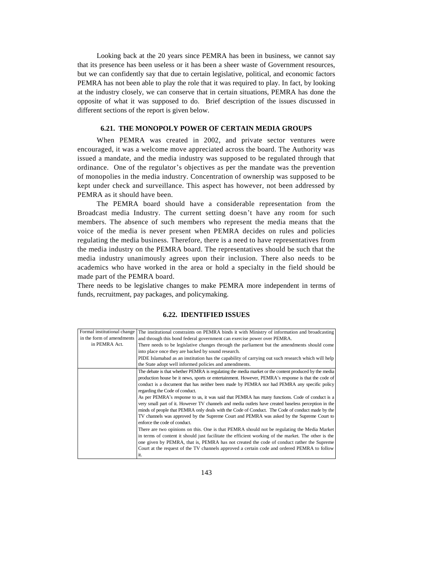Looking back at the 20 years since PEMRA has been in business, we cannot say that its presence has been useless or it has been a sheer waste of Government resources, but we can confidently say that due to certain legislative, political, and economic factors PEMRA has not been able to play the role that it was required to play. In fact, by looking at the industry closely, we can conserve that in certain situations, PEMRA has done the opposite of what it was supposed to do. Brief description of the issues discussed in different sections of the report is given below.

# **6.21. THE MONOPOLY POWER OF CERTAIN MEDIA GROUPS**

When PEMRA was created in 2002, and private sector ventures were encouraged, it was a welcome move appreciated across the board. The Authority was issued a mandate, and the media industry was supposed to be regulated through that ordinance. One of the regulator's objectives as per the mandate was the prevention of monopolies in the media industry. Concentration of ownership was supposed to be kept under check and surveillance. This aspect has however, not been addressed by PEMRA as it should have been.

The PEMRA board should have a considerable representation from the Broadcast media Industry. The current setting doesn't have any room for such members. The absence of such members who represent the media means that the voice of the media is never present when PEMRA decides on rules and policies regulating the media business. Therefore, there is a need to have representatives from the media industry on the PEMRA board. The representatives should be such that the media industry unanimously agrees upon their inclusion. There also needs to be academics who have worked in the area or hold a specialty in the field should be made part of the PEMRA board.

There needs to be legislative changes to make PEMRA more independent in terms of funds, recruitment, pay packages, and policymaking.

## **6.22. IDENTIFIED ISSUES**

|                           | Formal institutional change The institutional constraints on PEMRA binds it with Ministry of information and broadcasting |
|---------------------------|---------------------------------------------------------------------------------------------------------------------------|
| in the form of amendments | and through this bond federal government can exercise power over PEMRA.                                                   |
| in PEMRA Act.             | There needs to be legislative changes through the parliament but the amendments should come                               |
|                           | into place once they are backed by sound research.                                                                        |
|                           | PIDE Islamabad as an institution has the capability of carrying out such research which will help                         |
|                           | the State adopt well informed policies and amendments.                                                                    |
|                           | The debate is that whether PEMRA is regulating the media market or the content produced by the media                      |
|                           | production house be it news, sports or entertainment. However, PEMRA's response is that the code of                       |
|                           | conduct is a document that has neither been made by PEMRA nor had PEMRA any specific policy                               |
|                           | regarding the Code of conduct.                                                                                            |
|                           | As per PEMRA's response to us, it was said that PEMRA has many functions. Code of conduct is a                            |
|                           | very small part of it. However TV channels and media outlets have created baseless perception in the                      |
|                           | minds of people that PEMRA only deals with the Code of Conduct. The Code of conduct made by the                           |
|                           | TV channels was approved by the Supreme Court and PEMRA was asked by the Supreme Court to                                 |
|                           | enforce the code of conduct.                                                                                              |
|                           | There are two opinions on this. One is that PEMRA should not be regulating the Media Market                               |
|                           | in terms of content it should just facilitate the efficient working of the market. The other is the                       |
|                           | one given by PEMRA, that is, PEMRA has not created the code of conduct rather the Supreme                                 |
|                           | Court at the request of the TV channels approved a certain code and ordered PEMRA to follow                               |
|                           | it.                                                                                                                       |